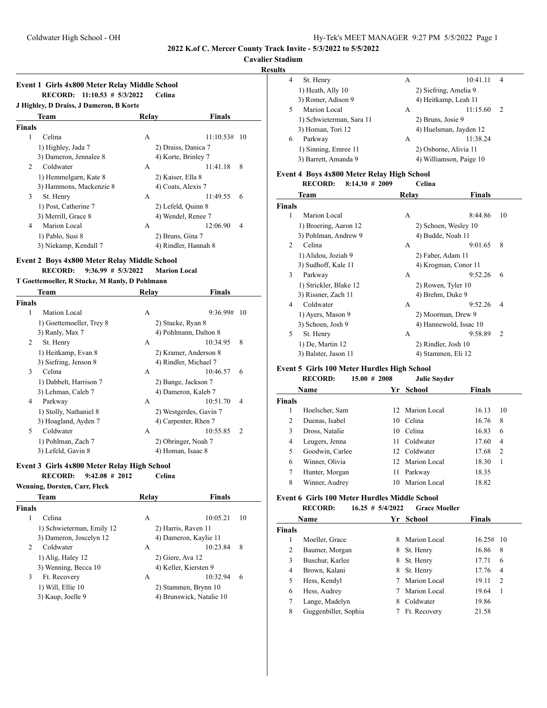### **Cavalier Stadium**

# **Results**

|                                       | Event 1 Girls 4x800 Meter Relay Middle School |       |                      |                |
|---------------------------------------|-----------------------------------------------|-------|----------------------|----------------|
| RECORD: 11:10.53 # 5/3/2022<br>Celina |                                               |       |                      |                |
|                                       | J Highley, D Draiss, J Dameron, B Korte       |       |                      |                |
|                                       | Team                                          | Relay | Finals               |                |
| <b>Finals</b>                         |                                               |       |                      |                |
| 1                                     | Celina                                        | A     | 11:10.53#            | -10            |
|                                       | 1) Highley, Jada 7                            |       | 2) Draiss, Danica 7  |                |
|                                       | 3) Dameron, Jennalee 8                        |       | 4) Korte, Brinley 7  |                |
| 2                                     | Coldwater                                     | A     | 11:41.18             | 8              |
|                                       | 1) Hemmelgarn, Kate 8                         |       | 2) Kaiser, Ella 8    |                |
|                                       | 3) Hammons, Mackenzie 8                       |       | 4) Coats, Alexis 7   |                |
| 3                                     | St. Henry                                     | A     | 11:49.55             | 6              |
|                                       | 1) Post, Catherine 7                          |       | 2) Lefeld, Quinn 8   |                |
|                                       | 3) Merrill, Grace 8                           |       | 4) Wendel, Renee 7   |                |
| 4                                     | Marion Local                                  | A     | 12:06.90             | $\overline{4}$ |
|                                       | 1) Pablo, Susi 8                              |       | 2) Bruns, Gina 7     |                |
|                                       | 3) Niekamp, Kendall 7                         |       | 4) Rindler, Hannah 8 |                |
|                                       |                                               |       |                      |                |

# **Event 2 Boys 4x800 Meter Relay Middle School**

**RECORD: 9:36.99 # 5/3/2022 Marion Local**

### **T Goettemoeller, R Stucke, M Ranly, D Pohlmann**

|        | Team                     | Relay | Finals                 |  |
|--------|--------------------------|-------|------------------------|--|
| Finals |                          |       |                        |  |
| 1      | Marion Local             | A     | 9:36.99#<br>10         |  |
|        | 1) Goettemoeller, Trey 8 |       | 2) Stucke, Ryan 8      |  |
|        | 3) Ranly, Max 7          |       | 4) Pohlmann, Dalton 8  |  |
| 2      | St. Henry                | A     | 10:34.95<br>8          |  |
|        | 1) Heitkamp, Evan 8      |       | 2) Kramer, Anderson 8  |  |
|        | 3) Siefring, Jenson 8    |       | 4) Rindler, Michael 7  |  |
| 3      | Celina                   | A     | 10:46.57<br>6          |  |
|        | 1) Dabbelt, Harrison 7   |       | 2) Bange, Jackson 7    |  |
|        | 3) Lehman, Caleb 7       |       | 4) Dameron, Kaleb 7    |  |
| 4      | Parkway                  | A     | 10:51.70<br>4          |  |
|        | 1) Stolly, Nathaniel 8   |       | 2) Westgerdes, Gavin 7 |  |
|        | 3) Hoagland, Ayden 7     |       | 4) Carpenter, Rhen 7   |  |
| 5      | Coldwater                | A     | 10:55.85<br>2          |  |
|        | 1) Pohlman, Zach 7       |       | 2) Obringer, Noah 7    |  |
|        | 3) Lefeld, Gavin 8       |       | 4) Homan, Isaac 8      |  |

#### **Event 3 Girls 4x800 Meter Relay High School**

**RECORD: 9:42.08 # 2012 Celina Wenning, Dorsten, Carr, Fleck**

| Team                      | Relay               | <b>Finals</b>            |
|---------------------------|---------------------|--------------------------|
| Finals                    |                     |                          |
| Celina<br>1               | А                   | 10:05.21<br>10           |
| 1) Schwieterman, Emily 12 | 2) Harris, Raven 11 |                          |
| 3) Dameron, Joscelyn 12   |                     | 4) Dameron, Kaylie 11    |
| Coldwater<br>2            | А                   | 10:23.84<br>8            |
| 1) Alig, Haley 12         | 2) Giere, Ava 12    |                          |
| 3) Wenning, Becca 10      |                     | 4) Keller, Kiersten 9    |
| 3<br>Ft. Recovery         | А                   | 10:32.94<br>6            |
| 1) Will, Ellie 10         |                     | 2) Stammen, Brynn 10     |
| 3) Kaup, Joelle 9         |                     | 4) Brunswick, Natalie 10 |
|                           |                     |                          |

| э |                          |                       |                         |                |  |
|---|--------------------------|-----------------------|-------------------------|----------------|--|
| 4 | St. Henry                | А                     | 10:41.11                | $\overline{4}$ |  |
|   | 1) Heath, Ally 10        | 2) Siefring, Amelia 9 |                         |                |  |
|   | 3) Romer, Adison 9       | 4) Heitkamp, Leah 11  |                         |                |  |
| 5 | Marion Local             | А                     | 11:15.60                | $\mathcal{D}$  |  |
|   | 1) Schwieterman, Sara 11 | 2) Bruns, Josie 9     |                         |                |  |
|   | 3) Homan, Tori 12        |                       | 4) Huelsman, Jayden 12  |                |  |
| 6 | Parkway                  | A                     | 11:38.24                |                |  |
|   | 1) Sinning, Emree 11     | 2) Osborne, Alivia 11 |                         |                |  |
|   | 3) Barrett, Amanda 9     |                       | 4) Williamson, Paige 10 |                |  |

### **Event 4 Boys 4x800 Meter Relay High School**

**RECORD: 8:14.30 # 2009 Celina**

|        | Team                   | Relay               | <b>Finals</b>             |
|--------|------------------------|---------------------|---------------------------|
| Finals |                        |                     |                           |
| 1      | Marion Local           | A                   | 8:44.86<br>10             |
|        | 1) Broering, Aaron 12  |                     | 2) Schoen, Wesley 10      |
|        | 3) Pohlman, Andrew 9   | 4) Budde, Noah 11   |                           |
| 2      | Celina                 | A                   | 9:01.65<br>8              |
|        | 1) Alidou, Joziah 9    | 2) Faber, Adam 11   |                           |
|        | 3) Sudhoff, Kale 11    |                     | 4) Krogman, Conor 11      |
| 3      | Parkway                | A                   | 9:52.26<br>6              |
|        | 1) Strickler, Blake 12 | 2) Rowen, Tyler 10  |                           |
|        | 3) Rissner, Zach 11    | 4) Brehm, Duke 9    |                           |
| 4      | Coldwater              | A                   | 9:52.26<br>4              |
|        | 1) Ayers, Mason 9      |                     | 2) Moorman, Drew 9        |
|        | 3) Schoen, Josh 9      |                     | 4) Hannewold, Issac 10    |
| 5      | St. Henry              | A                   | 9:58.89<br>$\overline{c}$ |
|        | 1) De, Martin 12       | 2) Rindler, Josh 10 |                           |
|        | 3) Balster, Jason 11   | 4) Stammen, Eli 12  |                           |

#### **Event 5 Girls 100 Meter Hurdles High School**<br> **ECODD:** 15.00, 4, 2008 **RECORD: 15.00 # 2008 Julie Snyder**

|               | RECORD:         | 15.00 # 2008 | Julie Snyder    |               |    |
|---------------|-----------------|--------------|-----------------|---------------|----|
|               | <b>Name</b>     |              | Yr School       | <b>Finals</b> |    |
| <b>Finals</b> |                 |              |                 |               |    |
| 1             | Hoelscher, Sam  |              | 12 Marion Local | 16.13         | 10 |
| 2             | Duenas, Isabel  | 10           | Celina          | 16.76         | 8  |
| 3             | Dross, Natalie  | 10           | Celina          | 16.83         | 6  |
| 4             | Leugers, Jenna  | 11           | Coldwater       | 17.60         | 4  |
| 5             | Goodwin, Carlee |              | 12 Coldwater    | 17.68         | 2  |
| 6             | Winner, Olivia  |              | 12 Marion Local | 18.30         | 1  |
| 7             | Hunter, Morgan  | 11           | Parkway         | 18.35         |    |
| 8             | Winner, Audrey  | 10           | Marion Local    | 18.82         |    |
|               |                 |              |                 |               |    |

# **Event 6 Girls 100 Meter Hurdles Middle School**

**RECORD: 16.25 # 5/4/2022 Grace Moeller**

|               | Name                 |   | Yr School    | <b>Finals</b> |      |
|---------------|----------------------|---|--------------|---------------|------|
| <b>Finals</b> |                      |   |              |               |      |
|               | Moeller, Grace       | 8 | Marion Local | 16.25#        | - 10 |
| 2             | Baumer, Morgan       | 8 | St. Henry    | 16.86         | 8    |
| 3             | Buschur, Karlee      | 8 | St. Henry    | 17.71         | 6    |
| 4             | Brown, Kalani        | 8 | St. Henry    | 17.76         | 4    |
| 5             | Hess, Kendyl         |   | Marion Local | 19.11         | 2    |
| 6             | Hess, Audrey         |   | Marion Local | 19.64         | 1    |
|               | Lange, Madelyn       | 8 | Coldwater    | 19.86         |      |
| 8             | Guggenbiller, Sophia |   | Ft. Recovery | 21.58         |      |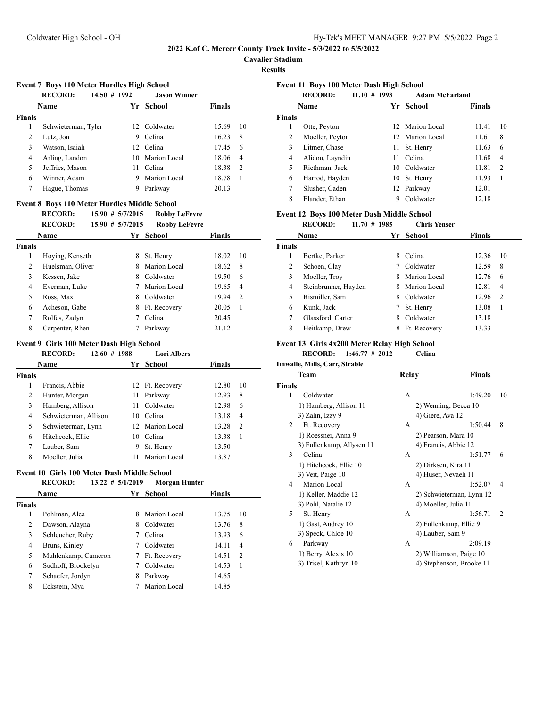**Cavalier Stadium**

# **Results**

|                    | Event 7 Boys 110 Meter Hurdles High School   |                     |                           |                |                |
|--------------------|----------------------------------------------|---------------------|---------------------------|----------------|----------------|
|                    | 14.50 # 1992<br><b>RECORD:</b>               |                     | <b>Jason Winner</b>       |                |                |
|                    | Name                                         | Yr                  | School                    | <b>Finals</b>  |                |
| <b>Finals</b>      |                                              |                     |                           |                |                |
| $\mathbf{1}$       | Schwieterman, Tyler                          |                     | 12 Coldwater              | 15.69          | 10             |
| 2                  | Lutz, Jon                                    |                     | 9 Celina                  | 16.23          | 8              |
| 3                  | Watson, Isaiah                               |                     | 12 Celina                 | 17.45          | 6              |
| 4                  | Arling, Landon                               |                     | 10 Marion Local           | 18.06          | 4              |
| 5                  | Jeffries, Mason                              | 11 -                | Celina                    | 18.38          | 2              |
| 6                  | Winner, Adam                                 |                     | 9 Marion Local            | 18.78          | 1              |
| 7                  | Hague, Thomas                                |                     | 9 Parkway                 | 20.13          |                |
|                    | Event 8 Boys 110 Meter Hurdles Middle School |                     |                           |                |                |
|                    | <b>RECORD:</b>                               | $15.90 \# 5/7/2015$ | <b>Robby LeFevre</b>      |                |                |
|                    | <b>RECORD:</b>                               | $15.90 \# 5/7/2015$ | <b>Robby LeFevre</b>      |                |                |
|                    | Name                                         |                     | Yr School                 | <b>Finals</b>  |                |
| <b>Finals</b>      |                                              |                     |                           |                |                |
| $\mathbf{1}$       | Hoying, Kenseth                              | 8                   | St. Henry                 | 18.02          | 10             |
| 2                  | Huelsman, Oliver                             |                     | 8 Marion Local            | 18.62          | 8              |
| 3                  | Kessen, Jake                                 |                     | 8 Coldwater               | 19.50          | 6              |
| 4                  | Everman, Luke                                | $7^{\circ}$         | Marion Local              | 19.65          | 4              |
| 5                  | Ross, Max                                    |                     | 8 Coldwater               | 19.94          | 2              |
| 6                  | Acheson, Gabe                                |                     | 8 Ft. Recovery            | 20.05          | 1              |
| 7                  | Rolfes, Zadyn                                |                     | 7 Celina                  | 20.45          |                |
| 8                  | Carpenter, Rhen                              | 7                   | Parkway                   | 21.12          |                |
|                    | Event 9 Girls 100 Meter Dash High School     |                     |                           |                |                |
|                    | <b>RECORD:</b><br>$12.60 \# 1988$            |                     | <b>Lori Albers</b>        |                |                |
|                    | Name                                         | Yr                  | School                    | <b>Finals</b>  |                |
| <b>Finals</b>      |                                              |                     |                           |                |                |
| 1                  | Francis, Abbie                               |                     | 12 Ft. Recovery           | 12.80          | 10             |
| 2                  | Hunter, Morgan                               | 11                  | Parkway                   | 12.93          | 8              |
| 3                  | Hamberg, Allison                             | 11                  | Coldwater                 | 12.98          | 6              |
| 4                  | Schwieterman, Allison                        |                     | 10 Celina                 | 13.18          | 4              |
|                    |                                              |                     |                           |                |                |
| 5                  |                                              | 12                  | Marion Local              | 13.28          | 2              |
|                    | Schwieterman, Lynn                           |                     |                           |                |                |
| 6<br>7             | Hitchcock, Ellie                             | 9                   | 10 Celina                 | 13.38          | 1              |
| 8                  | Lauber, Sam<br>Moeller, Julia                | 11                  | St. Henry<br>Marion Local | 13.50<br>13.87 |                |
|                    | Event 10 Girls 100 Meter Dash Middle School  |                     |                           |                |                |
|                    | RECORD: 13.22 # 5/1/2019 Morgan Hunter       |                     |                           |                |                |
|                    | Name                                         |                     |                           | <b>Finals</b>  |                |
|                    |                                              |                     | Yr School                 |                |                |
| $\mathbf{1}$       | Pohlman, Alea                                | 8                   | Marion Local              | 13.75          | 10             |
| $\overline{c}$     |                                              | 8                   | Coldwater                 | 13.76          | 8              |
| 3                  | Dawson, Alayna<br>Schleucher, Ruby           | $7^{\circ}$         | Celina                    | 13.93          | 6              |
| 4                  |                                              | $7^{\circ}$         | Coldwater                 | 14.11          | $\overline{4}$ |
| <b>Finals</b><br>5 | Bruns, Kinley<br>Muhlenkamp, Cameron         | 7                   | Ft. Recovery              | 14.51          | 2              |

7 Schaefer, Jordyn 8 Parkway 14.65 8 Eckstein, Mya 7 Marion Local 14.85

|               |                 | Event 11 Boys 100 Meter Dash High School |                       |               |                |
|---------------|-----------------|------------------------------------------|-----------------------|---------------|----------------|
|               | <b>RECORD:</b>  | $11.10 \# 1993$                          | <b>Adam McFarland</b> |               |                |
|               | Name            |                                          | Yr School             | <b>Finals</b> |                |
| <b>Finals</b> |                 |                                          |                       |               |                |
| 1             | Otte, Peyton    |                                          | 12 Marion Local       | 11.41         | 10             |
| 2             | Moeller, Peyton |                                          | 12 Marion Local       | 11.61         | 8              |
| 3             | Litmer, Chase   |                                          | 11 St. Henry          | 11.63         | 6              |
| 4             | Alidou, Layndin | 11                                       | Celina                | 11.68         | 4              |
| 5             | Riethman, Jack  | 10                                       | Coldwater             | 11.81         | $\overline{c}$ |
| 6             | Harrod, Hayden  |                                          | 10 St. Henry          | 11.93         | 1              |
| 7             | Slusher, Caden  |                                          | 12 Parkway            | 12.01         |                |
| 8             | Elander, Ethan  |                                          | Coldwater             | 12.18         |                |

# **Event 12 Boys 100 Meter Dash Middle School**

|               | <b>RECORD:</b>       | $11.70 \# 1985$ |     | <b>Chris Yenser</b> |        |                |
|---------------|----------------------|-----------------|-----|---------------------|--------|----------------|
|               | <b>Name</b>          |                 | Yr. | School              | Finals |                |
| <b>Finals</b> |                      |                 |     |                     |        |                |
|               | Bertke, Parker       |                 | 8   | Celina              | 12.36  | 10             |
| 2             | Schoen, Clay         |                 |     | Coldwater           | 12.59  | 8              |
| 3             | Moeller, Troy        |                 | 8   | Marion Local        | 12.76  | 6              |
| 4             | Steinbrunner, Hayden |                 | 8   | Marion Local        | 12.81  | 4              |
| 5             | Rismiller, Sam       |                 | 8   | Coldwater           | 12.96  | $\overline{c}$ |
| 6             | Kunk, Jack           |                 |     | St. Henry           | 13.08  | 1              |
| 7             | Glassford, Carter    |                 | 8   | Coldwater           | 13.18  |                |
| 8             | Heitkamp, Drew       |                 | 8   | Ft. Recovery        | 13.33  |                |

# **Event 13 Girls 4x200 Meter Relay High School**

**RECORD: 1:46.77 # 2012 Celina**

**Imwalle, Mills, Carr, Strable**

|               | Team                      | Relay                | <b>Finals</b>             |  |
|---------------|---------------------------|----------------------|---------------------------|--|
| <b>Finals</b> |                           |                      |                           |  |
| 1             | Coldwater                 | A                    | 1:49.20<br>10             |  |
|               | 1) Hamberg, Allison 11    |                      | 2) Wenning, Becca 10      |  |
|               | 3) Zahn, Izzy 9           | 4) Giere, Ava 12     |                           |  |
| 2             | Ft. Recovery              | A                    | 1:50.44<br>8              |  |
|               | 1) Roessner, Anna 9       | 2) Pearson, Mara 10  |                           |  |
|               | 3) Fullenkamp, Allysen 11 | 4) Francis, Abbie 12 |                           |  |
| 3             | Celina                    | A                    | 1:51.77<br>6              |  |
|               | 1) Hitchcock, Ellie 10    | 2) Dirksen, Kira 11  |                           |  |
|               | 3) Veit, Paige 10         | 4) Huser, Nevaeh 11  |                           |  |
| 4             | Marion Local              | A                    | 1:52.07<br>4              |  |
|               | 1) Keller, Maddie 12      |                      | 2) Schwieterman, Lynn 12  |  |
|               | 3) Pohl, Natalie 12       | 4) Moeller, Julia 11 |                           |  |
| 5             | St. Henry                 | A                    | 1:56.71<br>$\overline{c}$ |  |
|               | 1) Gast, Audrey 10        |                      | 2) Fullenkamp, Ellie 9    |  |
|               | 3) Speck, Chloe 10        | 4) Lauber, Sam 9     |                           |  |
| 6             | Parkway                   | A                    | 2:09.19                   |  |
|               | 1) Berry, Alexis 10       |                      | 2) Williamson, Paige 10   |  |
|               | 3) Trisel, Kathryn 10     |                      | 4) Stephenson, Brooke 11  |  |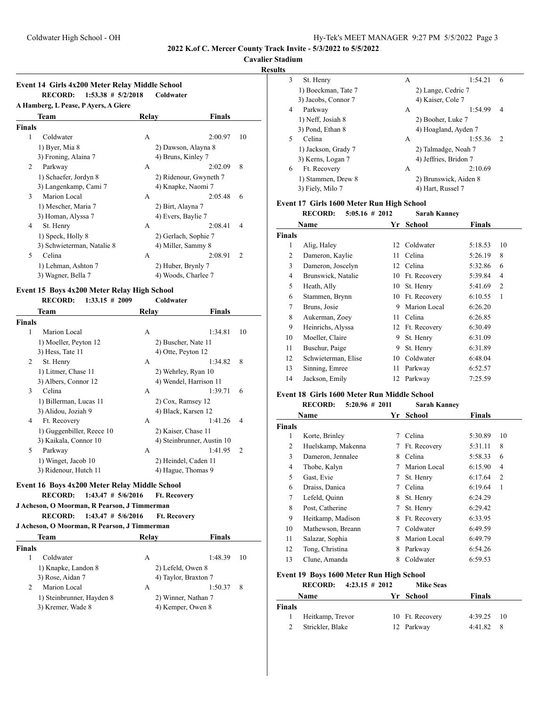#### **Cavalier Stadium**

**Results**

| A Hamberg, L Pease, P Ayers, A Giere |                            |       |                        |                |
|--------------------------------------|----------------------------|-------|------------------------|----------------|
|                                      | Team                       | Relay | <b>Finals</b>          |                |
| Finals                               |                            |       |                        |                |
| 1                                    | Coldwater                  | A     | 2:00.97                | 10             |
|                                      | 1) Byer, Mia 8             |       | 2) Dawson, Alayna 8    |                |
|                                      | 3) Froning, Alaina 7       |       | 4) Bruns, Kinley 7     |                |
| 2                                    | Parkway                    | A     | 2:02.09                | 8              |
|                                      | 1) Schaefer, Jordyn 8      |       | 2) Ridenour, Gwyneth 7 |                |
|                                      | 3) Langenkamp, Cami 7      |       | 4) Knapke, Naomi 7     |                |
| 3                                    | Marion Local               | A     | 2:05.48                | 6              |
|                                      | 1) Mescher, Maria 7        |       | 2) Birt, Alayna 7      |                |
|                                      | 3) Homan, Alyssa 7         |       | 4) Evers, Baylie 7     |                |
| 4                                    | St. Henry                  | A     | 2:08.41                | $\overline{4}$ |
|                                      | 1) Speck, Holly 8          |       | 2) Gerlach, Sophie 7   |                |
|                                      | 3) Schwieterman, Natalie 8 |       | 4) Miller, Sammy 8     |                |
| 5                                    | Celina                     | A     | 2:08.91                | $\overline{2}$ |
|                                      | 1) Lehman, Ashton 7        |       | 2) Huber, Brynly 7     |                |
|                                      | 3) Wagner, Bella 7         |       | 4) Woods, Charlee 7    |                |

#### **Event 15 Boys 4x200 Meter Relay High School RECORD: 1:33.15 # 2009 Coldwater**

|        | Team                      | Relay | <b>Finals</b>              |                |
|--------|---------------------------|-------|----------------------------|----------------|
| Finals |                           |       |                            |                |
| 1      | Marion Local              | A     | 1:34.81                    | 10             |
|        | 1) Moeller, Peyton 12     |       | 2) Buscher, Nate 11        |                |
|        | 3) Hess, Tate 11          |       | 4) Otte, Peyton 12         |                |
| 2      | St. Henry                 | A     | 1:34.82                    | 8              |
|        | 1) Litmer, Chase 11       |       | 2) Wehrley, Ryan 10        |                |
|        | 3) Albers, Connor 12      |       | 4) Wendel, Harrison 11     |                |
| 3      | Celina                    | A     | 1:39.71                    | 6              |
|        | 1) Billerman, Lucas 11    |       | 2) Cox, Ramsey 12          |                |
|        | 3) Alidou, Joziah 9       |       | 4) Black, Karsen 12        |                |
| 4      | Ft. Recovery              | A     | 1:41.26                    | $\overline{4}$ |
|        | 1) Guggenbiller, Reece 10 |       | 2) Kaiser, Chase 11        |                |
|        | 3) Kaikala, Connor 10     |       | 4) Steinbrunner, Austin 10 |                |
| 5      | Parkway                   | A     | 1:41.95                    | 2              |
|        | 1) Winget, Jacob 10       |       | 2) Heindel, Caden 11       |                |
|        | 3) Ridenour, Hutch 11     |       | 4) Hague, Thomas 9         |                |

#### **Event 16 Boys 4x200 Meter Relay Middle School RECORD: 1:43.47 # 5/6/2016 Ft. Recovery**

#### **J Acheson, O Moorman, R Pearson, J Timmerman RECORD: 1:43.47 # 5/6/2016 Ft. Recovery**

**J Acheson, O Moorman, R Pearson, J Timmerman**

| Team          |                           | Relav | <b>Finals</b>        |    |
|---------------|---------------------------|-------|----------------------|----|
| <b>Finals</b> |                           |       |                      |    |
|               | Coldwater                 | A     | 1:48.39              | 10 |
|               | 1) Knapke, Landon 8       |       | 2) Lefeld, Owen 8    |    |
|               | 3) Rose, Aidan 7          |       | 4) Taylor, Braxton 7 |    |
| 2             | Marion Local              | А     | 1:50.37              | 8  |
|               | 1) Steinbrunner, Hayden 8 |       | 2) Winner, Nathan 7  |    |
|               | 3) Kremer, Wade 8         |       | 4) Kemper, Owen 8    |    |

| $\sim$ |                     |                       |         |   |
|--------|---------------------|-----------------------|---------|---|
| 3      | St. Henry           | А                     | 1:54.21 | 6 |
|        | 1) Boeckman, Tate 7 | 2) Lange, Cedric 7    |         |   |
|        | 3) Jacobs, Connor 7 | 4) Kaiser, Cole 7     |         |   |
| 4      | Parkway             | А                     | 1:54.99 | 4 |
|        | 1) Neff, Josiah 8   | 2) Booher, Luke 7     |         |   |
|        | 3) Pond, Ethan 8    | 4) Hoagland, Ayden 7  |         |   |
| 5      | Celina              | А                     | 1:55.36 | 2 |
|        | 1) Jackson, Grady 7 | 2) Talmadge, Noah 7   |         |   |
|        | 3) Kerns, Logan 7   | 4) Jeffries, Bridon 7 |         |   |
| 6      | Ft. Recovery        | A                     | 2:10.69 |   |
|        | 1) Stammen, Drew 8  | 2) Brunswick, Aiden 8 |         |   |
|        | 3) Fiely, Milo 7    | 4) Hart, Russel 7     |         |   |

# **Event 17 Girls 1600 Meter Run High School**

**RECORD: 5:05.16 # 2012 Sarah Kanney**

|                | Name                | Yr | School          | <b>Finals</b> |                |
|----------------|---------------------|----|-----------------|---------------|----------------|
| Finals         |                     |    |                 |               |                |
| 1              | Alig, Haley         |    | 12 Coldwater    | 5:18.53       | 10             |
| 2              | Dameron, Kaylie     | 11 | Celina          | 5:26.19       | 8              |
| 3              | Dameron, Joscelyn   | 12 | Celina          | 5:32.86       | 6              |
| $\overline{4}$ | Brunswick, Natalie  | 10 | Ft. Recovery    | 5:39.84       | 4              |
| 5              | Heath, Ally         | 10 | St. Henry       | 5:41.69       | $\overline{2}$ |
| 6              | Stammen, Brynn      | 10 | Ft. Recovery    | 6:10.55       | $\mathbf{1}$   |
| 7              | Bruns, Josie        | 9  | Marion Local    | 6:26.20       |                |
| 8              | Aukerman, Zoey      | 11 | Celina          | 6:26.85       |                |
| 9              | Heinrichs, Alyssa   |    | 12 Ft. Recovery | 6:30.49       |                |
| 10             | Moeller, Claire     | 9  | St. Henry       | 6:31.09       |                |
| 11             | Buschur, Paige      | 9  | St. Henry       | 6:31.89       |                |
| 12             | Schwieterman, Elise | 10 | Coldwater       | 6:48.04       |                |
| 13             | Sinning, Emree      | 11 | Parkway         | 6:52.57       |                |
| 14             | Jackson, Emily      | 12 | Parkway         | 7:25.59       |                |
|                |                     |    |                 |               |                |

### **Event 18 Girls 1600 Meter Run Middle School**

|               | <b>RECORD:</b><br>$5:20.96 \# 2011$ |    | <b>Sarah Kanney</b> |         |                |
|---------------|-------------------------------------|----|---------------------|---------|----------------|
|               | Name                                | Yr | School              | Finals  |                |
| <b>Finals</b> |                                     |    |                     |         |                |
| 1             | Korte, Brinley                      | 7  | Celina              | 5:30.89 | 10             |
| 2             | Huelskamp, Makenna                  | 7  | Ft. Recovery        | 5:31.11 | 8              |
| 3             | Dameron, Jennalee                   | 8  | Celina              | 5:58.33 | 6              |
| 4             | Thobe, Kalyn                        | 7  | Marion Local        | 6:15.90 | 4              |
| 5             | Gast, Evie                          | 7  | St. Henry           | 6:17.64 | $\overline{2}$ |
| 6             | Draiss, Danica                      | 7  | Celina              | 6:19.64 | 1              |
| 7             | Lefeld, Quinn                       | 8  | St. Henry           | 6:24.29 |                |
| 8             | Post, Catherine                     | 7  | St. Henry           | 6:29.42 |                |
| 9             | Heitkamp, Madison                   | 8  | Ft. Recovery        | 6:33.95 |                |
| 10            | Mathewson, Breann                   | 7  | Coldwater           | 6:49.59 |                |
| 11            | Salazar, Sophia                     | 8  | Marion Local        | 6:49.79 |                |
| 12            | Tong, Christina                     | 8  | Parkway             | 6:54.26 |                |
| 13            | Clune, Amanda                       | 8  | Coldwater           | 6:59.53 |                |

### **Event 19 Boys 1600 Meter Run High School RECORD: 4:23.15 # 2012 Mike Seas**

|        | Name             | Yr School       | <b>Finals</b> |    |
|--------|------------------|-----------------|---------------|----|
| Finals |                  |                 |               |    |
|        | Heitkamp, Trevor | 10 Ft. Recovery | $4:39.25$ 10  |    |
| 2      | Strickler, Blake | 12 Parkway      | 4:41.82       | -8 |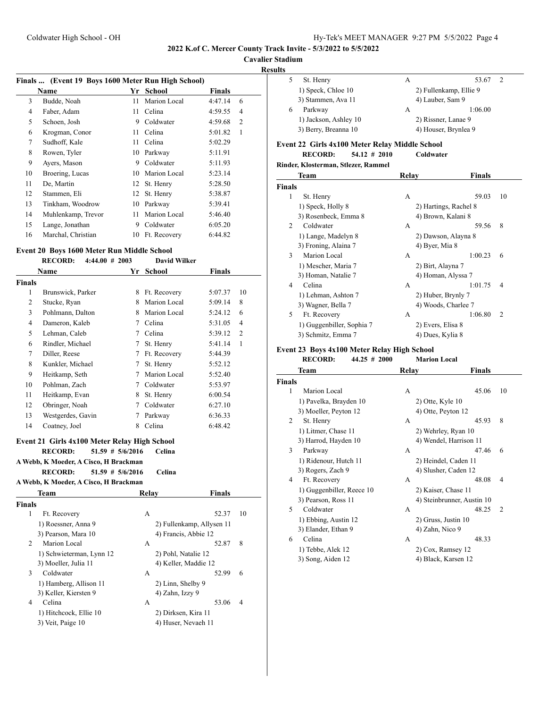# **Cavalier Stadium**

| <b>Results</b> |
|----------------|
|----------------|

|    | Finals  (Event 19 Boys 1600 Meter Run High School) |    |              |               |                |
|----|----------------------------------------------------|----|--------------|---------------|----------------|
|    | Name                                               | Yr | School       | <b>Finals</b> |                |
| 3  | Budde, Noah                                        | 11 | Marion Local | 4:47.14       | 6              |
| 4  | Faber, Adam                                        | 11 | Celina       | 4:59.55       | 4              |
| 5  | Schoen, Josh                                       | 9  | Coldwater    | 4:59.68       | $\overline{2}$ |
| 6  | Krogman, Conor                                     | 11 | Celina       | 5:01.82       | 1              |
| 7  | Sudhoff, Kale                                      | 11 | Celina       | 5:02.29       |                |
| 8  | Rowen, Tyler                                       | 10 | Parkway      | 5:11.91       |                |
| 9  | Ayers, Mason                                       | 9  | Coldwater    | 5:11.93       |                |
| 10 | Broering, Lucas                                    | 10 | Marion Local | 5:23.14       |                |
| 11 | De, Martin                                         |    | 12 St. Henry | 5:28.50       |                |
| 12 | Stammen, Eli                                       | 12 | St. Henry    | 5:38.87       |                |
| 13 | Tinkham, Woodrow                                   | 10 | Parkway      | 5:39.41       |                |
| 14 | Muhlenkamp, Trevor                                 | 11 | Marion Local | 5:46.40       |                |
| 15 | Lange, Jonathan                                    | 9  | Coldwater    | 6:05.20       |                |
| 16 | Marchal, Christian                                 | 10 | Ft. Recovery | 6:44.82       |                |

# **Event 20 Boys 1600 Meter Run Middle School**

#### **RECORD: 4:44.00 # 2003 David Wilker**

|        | Name              | Yr | <b>School</b> | <b>Finals</b> |                |
|--------|-------------------|----|---------------|---------------|----------------|
| Finals |                   |    |               |               |                |
| 1      | Brunswick, Parker | 8  | Ft. Recovery  | 5:07.37       | 10             |
| 2      | Stucke, Ryan      | 8  | Marion Local  | 5:09.14       | 8              |
| 3      | Pohlmann, Dalton  | 8  | Marion Local  | 5:24.12       | 6              |
| 4      | Dameron, Kaleb    | 7  | Celina        | 5:31.05       | 4              |
| 5      | Lehman, Caleb     | 7  | Celina        | 5:39.12       | $\overline{2}$ |
| 6      | Rindler, Michael  | 7  | St. Henry     | 5:41.14       | 1              |
| 7      | Diller, Reese     | 7  | Ft. Recovery  | 5:44.39       |                |
| 8      | Kunkler, Michael  | 7  | St. Henry     | 5:52.12       |                |
| 9      | Heitkamp, Seth    | 7  | Marion Local  | 5:52.40       |                |
| 10     | Pohlman, Zach     | 7  | Coldwater     | 5:53.97       |                |
| 11     | Heitkamp, Evan    | 8  | St. Henry     | 6:00.54       |                |
| 12     | Obringer, Noah    | 7  | Coldwater     | 6:27.10       |                |
| 13     | Westgerdes, Gavin | 7  | Parkway       | 6:36.33       |                |
| 14     | Coatney, Joel     | 8  | Celina        | 6:48.42       |                |

# **Event 21 Girls 4x100 Meter Relay High School RECORD: 51.59 # 5/6/2016 Celina**

**A Webb, K Moeder, A Cisco, H Brackman**

**RECORD: 51.59 # 5/6/2016 Celina**

# **A Webb, K Moeder, A Cisco, H Brackman**

|        | <b>Team</b>              | Relav               | <b>Finals</b>             |  |
|--------|--------------------------|---------------------|---------------------------|--|
| Finals |                          |                     |                           |  |
| 1      | Ft. Recovery             | A                   | 10<br>52.37               |  |
|        | 1) Roessner, Anna 9      |                     | 2) Fullenkamp, Allysen 11 |  |
|        | 3) Pearson, Mara 10      |                     | 4) Francis, Abbie 12      |  |
| 2      | Marion Local             | A                   | 52.87<br>8                |  |
|        | 1) Schwieterman, Lynn 12 | 2) Pohl, Natalie 12 |                           |  |
|        | 3) Moeller, Julia 11     |                     | 4) Keller, Maddie 12      |  |
| 3      | Coldwater                | А                   | 52.99<br>6                |  |
|        | 1) Hamberg, Allison 11   | 2) Linn, Shelby 9   |                           |  |
|        | 3) Keller, Kiersten 9    | 4) Zahn, Izzy 9     |                           |  |
| 4      | Celina                   | A                   | 53.06<br>4                |  |
|        | 1) Hitchcock, Ellie 10   | 2) Dirksen, Kira 11 |                           |  |
|        | 3) Veit, Paige 10        |                     | 4) Huser, Nevaeh 11       |  |
|        |                          |                     |                           |  |

| . |                       |   |                        |  |
|---|-----------------------|---|------------------------|--|
|   | St. Henry             | А | 53.67                  |  |
|   | 1) Speck, Chloe 10    |   | 2) Fullenkamp, Ellie 9 |  |
|   | 3) Stammen, Ava 11    |   | 4) Lauber, Sam 9       |  |
| 6 | Parkway               | А | 1:06.00                |  |
|   | 1) Jackson, Ashley 10 |   | 2) Rissner, Lanae 9    |  |
|   | 3) Berry, Breanna 10  |   | 4) Houser, Brynlea 9   |  |
|   |                       |   |                        |  |

# **Event 22 Girls 4x100 Meter Relay Middle School**

**RECORD: 54.12 # 2010 Coldwater**

**Rinder, Klosterman, Stlezer, Rammel**

|                | <b>Team</b>               | Relay              | Finals                    |
|----------------|---------------------------|--------------------|---------------------------|
| <b>Finals</b>  |                           |                    |                           |
| 1              | St. Henry                 | A                  | 10<br>59.03               |
|                | 1) Speck, Holly 8         |                    | 2) Hartings, Rachel 8     |
|                | 3) Rosenbeck, Emma 8      | 4) Brown, Kalani 8 |                           |
| $\mathfrak{D}$ | Coldwater                 | A                  | 8<br>59.56                |
|                | 1) Lange, Madelyn 8       |                    | 2) Dawson, Alayna 8       |
|                | 3) Froning, Alaina 7      | 4) Byer, Mia 8     |                           |
| $\mathbf{3}$   | Marion Local              | A                  | 1:00.23<br>6              |
|                | 1) Mescher, Maria 7       | 2) Birt, Alayna 7  |                           |
|                | 3) Homan, Natalie 7       |                    | 4) Homan, Alyssa 7        |
| 4              | Celina                    | A                  | 1:01.75<br>4              |
|                | 1) Lehman, Ashton 7       | 2) Huber, Brynly 7 |                           |
|                | 3) Wagner, Bella 7        |                    | 4) Woods, Charlee 7       |
| 5              | Ft. Recovery              | A                  | 1:06.80<br>$\overline{c}$ |
|                | 1) Guggenbiller, Sophia 7 | 2) Evers, Elisa 8  |                           |
|                | 3) Schmitz, Emma 7        | 4) Dues, Kylia 8   |                           |

# **Event 23 Boys 4x100 Meter Relay High School**

```
RECORD: 44.25 # 2000 Marion Local
```
**Team Relay Finals**

|               | тсаш                      | IXCIAV | т шаіз                     |                |
|---------------|---------------------------|--------|----------------------------|----------------|
| <b>Finals</b> |                           |        |                            |                |
| 1             | Marion Local              | A      | 45.06                      | 10             |
|               | 1) Pavelka, Brayden 10    |        | $2)$ Otte, Kyle $10$       |                |
|               | 3) Moeller, Peyton 12     |        | 4) Otte, Peyton 12         |                |
| 2             | St. Henry                 | A      | 45.93                      | 8              |
|               | 1) Litmer, Chase 11       |        | 2) Wehrley, Ryan 10        |                |
|               | 3) Harrod, Hayden 10      |        | 4) Wendel, Harrison 11     |                |
| 3             | Parkway                   | A      | 47.46                      | 6              |
|               | 1) Ridenour, Hutch 11     |        | 2) Heindel, Caden 11       |                |
|               | 3) Rogers, Zach 9         |        | 4) Slusher, Caden 12       |                |
| 4             | Ft. Recovery              | A      | 48.08                      | 4              |
|               | 1) Guggenbiller, Reece 10 |        | 2) Kaiser, Chase 11        |                |
|               | 3) Pearson, Ross 11       |        | 4) Steinbrunner, Austin 10 |                |
| 5             | Coldwater                 | A      | 48.25                      | $\overline{2}$ |
|               | 1) Ebbing, Austin 12      |        | 2) Gruss, Justin 10        |                |
|               | 3) Elander, Ethan 9       |        | 4) Zahn, Nico 9            |                |
| 6             | Celina                    | A      | 48.33                      |                |
|               | 1) Tebbe, Alek 12         |        | 2) Cox, Ramsey 12          |                |
|               | 3) Song, Aiden 12         |        | 4) Black, Karsen 12        |                |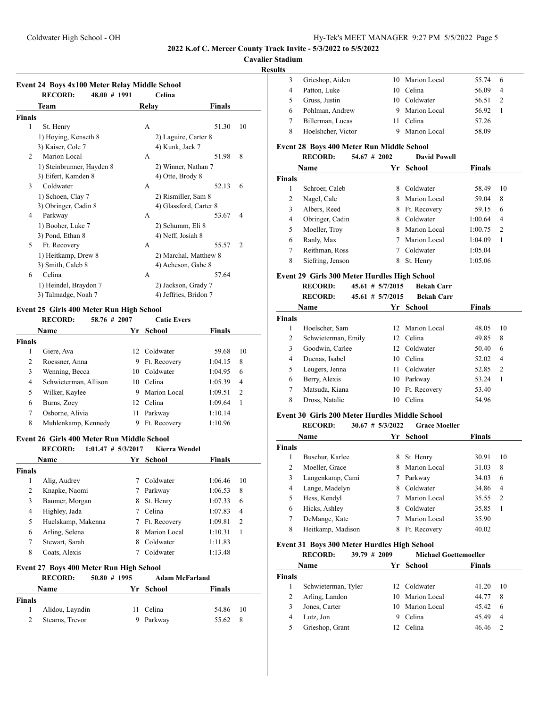**Cavalier Stadium**

#### **Results**

J,

|                | <b>RECORD:</b><br>48.00 # 1991 |       | Celina                 |                |
|----------------|--------------------------------|-------|------------------------|----------------|
|                | Team                           | Relay | Finals                 |                |
| <b>Finals</b>  |                                |       |                        |                |
| 1              | St. Henry                      | A     | 51.30                  | 10             |
|                | 1) Hoying, Kenseth 8           |       | 2) Laguire, Carter 8   |                |
|                | 3) Kaiser, Cole 7              |       | 4) Kunk, Jack 7        |                |
| $\overline{2}$ | <b>Marion Local</b>            | A     | 51.98                  | 8              |
|                | 1) Steinbrunner, Hayden 8      |       | 2) Winner, Nathan 7    |                |
|                | 3) Eifert, Kamden 8            |       | 4) Otte, Brody 8       |                |
| 3              | Coldwater                      | A     | 52.13                  | 6              |
|                | 1) Schoen, Clay 7              |       | 2) Rismiller, Sam 8    |                |
|                | 3) Obringer, Cadin 8           |       | 4) Glassford, Carter 8 |                |
| 4              | Parkway                        | A     | 53.67                  | 4              |
|                | 1) Booher, Luke 7              |       | 2) Schumm, Eli 8       |                |
|                | 3) Pond, Ethan 8               |       | 4) Neff, Josiah 8      |                |
| 5              | Ft. Recovery                   | A     | 55.57                  | $\overline{2}$ |
|                | 1) Heitkamp, Drew 8            |       | 2) Marchal, Matthew 8  |                |
|                | 3) Smith, Caleb 8              |       | 4) Acheson, Gabe 8     |                |
| 6              | Celina                         | A     | 57.64                  |                |
|                | 1) Heindel, Braydon 7          |       | 2) Jackson, Grady 7    |                |
|                | 3) Talmadge, Noah 7            |       | 4) Jeffries, Bridon 7  |                |

# **Event 25 Girls 400 Meter Run High School<br>RECORD:** 58.76 # 2007 Ca

# **RECORD: 58.76 # 2007 Catie Evers Name Yr School Finals Finals** 1 Giere, Ava 12 Coldwater 59.68 10 2 Roessner, Anna 9 Ft. Recovery 1:04.15 8 3 Wenning, Becca 10 Coldwater 1:04.95 6 4 Schwieterman, Allison 10 Celina 1:05.39 4 5 Wilker, Kaylee 9 Marion Local 1:09.51 2 6 Burns, Zoey 12 Celina 1:09.64 1 7 Osborne, Alivia 11 Parkway 1:10.14 8 Muhlenkamp, Kennedy 9 Ft. Recovery 1:10.96

#### **Event 26 Girls 400 Meter Run Middle School**

|        | <b>RECORD:</b>     | $1:01.47$ # $5/3/2017$ | <b>Kierra Wendel</b> |         |                |
|--------|--------------------|------------------------|----------------------|---------|----------------|
|        | <b>Name</b>        |                        | Yr School            | Finals  |                |
| Finals |                    |                        |                      |         |                |
| 1      | Alig, Audrey       |                        | Coldwater            | 1:06.46 | 10             |
| 2      | Knapke, Naomi      |                        | Parkway              | 1:06.53 | 8              |
| 3      | Baumer, Morgan     | 8                      | St. Henry            | 1:07.33 | 6              |
| 4      | Highley, Jada      |                        | Celina               | 1:07.83 | 4              |
| 5      | Huelskamp, Makenna |                        | Ft. Recovery         | 1:09.81 | $\overline{2}$ |
| 6      | Arling, Selena     | 8                      | Marion Local         | 1:10.31 |                |
| 7      | Stewart, Sarah     | 8                      | Coldwater            | 1:11.83 |                |
| 8      | Coats, Alexis      |                        | Coldwater            | 1:13.48 |                |

#### **Event 27 Boys 400 Meter Run High School**

|                             | <b>RECORD:</b>  | $50.80 \# 1995$ |           | <b>Adam McFarland</b> |     |
|-----------------------------|-----------------|-----------------|-----------|-----------------------|-----|
|                             | Name            |                 | Yr School | <b>Finals</b>         |     |
| <b>Finals</b>               |                 |                 |           |                       |     |
| 1.                          | Alidou, Layndin |                 | 11 Celina | 54.86 10              |     |
| $\mathcal{D}_{\mathcal{L}}$ | Stearns, Trevor |                 | Parkway   | 55.62                 | - 8 |

|   | Grieshop, Aiden    | 10 Marion Local | 55.74 | 6              |
|---|--------------------|-----------------|-------|----------------|
|   | Patton, Luke       | 10 Celina       | 56.09 | $\overline{4}$ |
|   | Gruss, Justin      | 10 Coldwater    | 56.51 | 2              |
| 6 | Pohlman, Andrew    | 9 Marion Local  | 56.92 |                |
|   | Billerman, Lucas   | Celina          | 57.26 |                |
| 8 | Hoelshcher, Victor | Marion Local    | 58.09 |                |
|   |                    |                 |       |                |

# **Event 28 Boys 400 Meter Run Middle School**

|               | <b>RECORD:</b>   | $54.67$ # 2002 | <b>David Powell</b> |               |    |
|---------------|------------------|----------------|---------------------|---------------|----|
|               | <b>Name</b>      | Yr             | School              | <b>Finals</b> |    |
| <b>Finals</b> |                  |                |                     |               |    |
|               | Schroer, Caleb   | 8              | Coldwater           | 58.49         | 10 |
| 2             | Nagel, Cale      | 8              | Marion Local        | 59.04         | 8  |
| 3             | Albers, Reed     | 8              | Ft. Recovery        | 59.15         | 6  |
| 4             | Obringer, Cadin  | 8              | Coldwater           | 1:00.64       | 4  |
| 5             | Moeller, Troy    | 8              | Marion Local        | 1:00.75       | 2  |
| 6             | Ranly, Max       |                | Marion Local        | 1:04.09       | 1  |
| 7             | Reithman, Ross   |                | Coldwater           | 1:05.04       |    |
| 8             | Siefring, Jenson | 8              | St. Henry           | 1:05.06       |    |

#### **Event 29 Girls 300 Meter Hurdles High School**

**RECORD: 45.61 # 5/7/2015 Bekah Carr**

|               | <b>RECORD:</b>      | $45.61 \# 5/7/2015$ | <b>Bekah Carr</b> |               |    |
|---------------|---------------------|---------------------|-------------------|---------------|----|
|               | <b>Name</b>         |                     | Yr School         | <b>Finals</b> |    |
| <b>Finals</b> |                     |                     |                   |               |    |
| 1             | Hoelscher, Sam      |                     | 12 Marion Local   | 48.05         | 10 |
| 2             | Schwieterman, Emily |                     | 12 Celina         | 49.85         | 8  |
| 3             | Goodwin, Carlee     |                     | 12 Coldwater      | 50.40         | 6  |
| 4             | Duenas, Isabel      | 10                  | Celina            | 52.02         | 4  |
| 5             | Leugers, Jenna      | 11                  | Coldwater         | 52.85         | 2  |
| 6             | Berry, Alexis       | 10                  | Parkway           | 53.24         | 1  |
| 7             | Matsuda, Kiana      | 10                  | Ft. Recovery      | 53.40         |    |
| 8             | Dross, Natalie      | 10                  | Celina            | 54.96         |    |

#### **Event 30 Girls 200 Meter Hurdles Middle School**

|             | <b>RECORD:</b>    | 30.67 | # 5/3/2022    | <b>Grace Moeller</b> |               |    |
|-------------|-------------------|-------|---------------|----------------------|---------------|----|
| <b>Name</b> |                   |       | School<br>Yr. |                      | <b>Finals</b> |    |
| Finals      |                   |       |               |                      |               |    |
| 1           | Buschur, Karlee   |       | 8             | St. Henry            | 30.91         | 10 |
| 2           | Moeller, Grace    |       | 8             | Marion Local         | 31.03         | 8  |
| 3           | Langenkamp, Cami  |       |               | Parkway              | 34.03         | 6  |
| 4           | Lange, Madelyn    |       | 8             | Coldwater            | 34.86         | 4  |
| 5           | Hess, Kendyl      |       |               | Marion Local         | 35.55         | 2  |
| 6           | Hicks, Ashley     |       | 8             | Coldwater            | 35.85         | 1  |
| 7           | DeMange, Kate     |       |               | Marion Local         | 35.90         |    |
| 8           | Heitkamp, Madison |       | 8             | Ft. Recovery         | 40.02         |    |

### **Event 31 Boys 300 Meter Hurdles High School**

|                | <b>RECORD:</b>      | $39.79 \# 2009$ |   | <b>Michael Goettemoeller</b> |               |               |
|----------------|---------------------|-----------------|---|------------------------------|---------------|---------------|
|                | Name                |                 |   | Yr School                    | <b>Finals</b> |               |
| Finals         |                     |                 |   |                              |               |               |
|                | Schwieterman, Tyler |                 |   | 12 Coldwater                 | 41.20         | 10            |
|                | Arling, Landon      |                 |   | 10 Marion Local              | 44.77         | 8             |
|                | Jones, Carter       |                 |   | 10 Marion Local              | 45.42         | 6             |
| $\overline{4}$ | Lutz, Jon           |                 | 9 | Celina                       | 45.49         | 4             |
| 5              | Grieshop, Grant     |                 |   | Celina                       | 46.46         | $\mathcal{P}$ |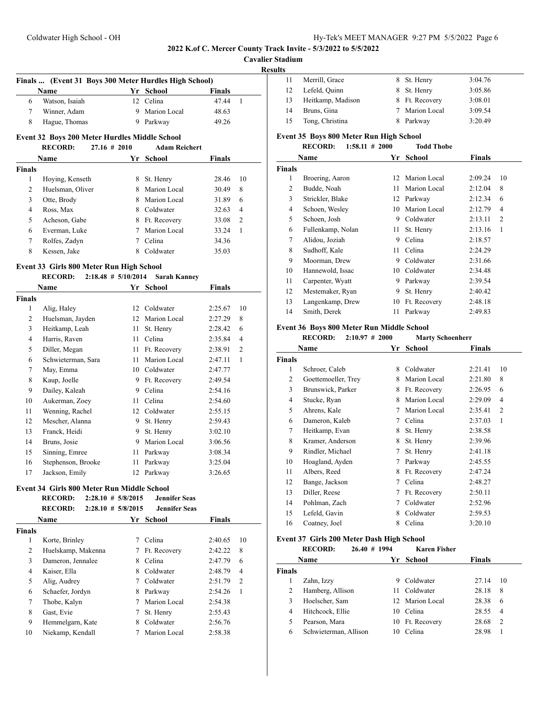**Cavalier Stadium**

**Results**

| ιιэ |                   |                |         |
|-----|-------------------|----------------|---------|
| 11  | Merrill, Grace    | 8 St. Henry    | 3:04.76 |
| 12  | Lefeld, Quinn     | 8 St. Henry    | 3:05.86 |
| 13  | Heitkamp, Madison | 8 Ft. Recovery | 3:08.01 |
| 14  | Bruns, Gina       | 7 Marion Local | 3:09.54 |
| 15  | Tong, Christina   | 8 Parkway      | 3:20.49 |

### **Event 32 Boys 200 Meter Hurdles Middle School RECORD: 27.16 # 2010 Adam Reichert**

**Finals ... (Event 31 Boys 300 Meter Hurdles High School)**

**Name Yr School Finals** Watson, Isaiah 12 Celina 47.44 1 Winner, Adam 9 Marion Local 48.63 8 Hague, Thomas 9 Parkway 49.26

|               | <b>Name</b>      |   | Yr School    | <b>Finals</b> |    |
|---------------|------------------|---|--------------|---------------|----|
| <b>Finals</b> |                  |   |              |               |    |
| 1             | Hoying, Kenseth  | 8 | St. Henry    | 28.46         | 10 |
| 2             | Huelsman, Oliver | 8 | Marion Local | 30.49         | 8  |
| 3             | Otte, Brody      | 8 | Marion Local | 31.89         | 6  |
| 4             | Ross, Max        | 8 | Coldwater    | 32.63         | 4  |
| 5             | Acheson, Gabe    | 8 | Ft. Recovery | 33.08         | 2  |
| 6             | Everman, Luke    |   | Marion Local | 33.24         | 1  |
| 7             | Rolfes, Zadyn    |   | Celina       | 34.36         |    |
| 8             | Kessen, Jake     | 8 | Coldwater    | 35.03         |    |

# **Event 33 Girls 800 Meter Run High School**

# **RECORD: 2:18.48 # 5/10/2014 Sarah Kanney**

| Name   |                    | Yr | School       | Finals  |                |
|--------|--------------------|----|--------------|---------|----------------|
| Finals |                    |    |              |         |                |
| 1      | Alig, Haley        | 12 | Coldwater    | 2:25.67 | 10             |
| 2      | Huelsman, Jayden   | 12 | Marion Local | 2:27.29 | 8              |
| 3      | Heitkamp, Leah     | 11 | St. Henry    | 2:28.42 | 6              |
| 4      | Harris, Raven      | 11 | Celina       | 2:35.84 | $\overline{4}$ |
| 5      | Diller, Megan      | 11 | Ft. Recovery | 2:38.91 | $\overline{2}$ |
| 6      | Schwieterman, Sara | 11 | Marion Local | 2:47.11 | 1              |
| 7      | May, Emma          | 10 | Coldwater    | 2:47.77 |                |
| 8      | Kaup, Joelle       | 9  | Ft. Recovery | 2:49.54 |                |
| 9      | Dailey, Kaleah     | 9  | Celina       | 2:54.16 |                |
| 10     | Aukerman, Zoev     | 11 | Celina       | 2:54.60 |                |
| 11     | Wenning, Rachel    | 12 | Coldwater    | 2:55.15 |                |
| 12     | Mescher, Alanna    | 9  | St. Henry    | 2:59.43 |                |
| 13     | Franck, Heidi      | 9  | St. Henry    | 3:02.10 |                |
| 14     | Bruns, Josie       | 9  | Marion Local | 3:06.56 |                |
| 15     | Sinning, Emree     | 11 | Parkway      | 3:08.34 |                |
| 16     | Stephenson, Brooke | 11 | Parkway      | 3:25.04 |                |
| 17     | Jackson, Emily     | 12 | Parkway      | 3:26.65 |                |

#### **Event 34 Girls 800 Meter Run Middle School**

|               | <b>RECORD:</b>     | $2:28.10$ # $5/8/2015$ | <b>Jennifer Seas</b> |               |    |
|---------------|--------------------|------------------------|----------------------|---------------|----|
|               | <b>RECORD:</b>     | $2:28.10$ # $5/8/2015$ | <b>Jennifer Seas</b> |               |    |
|               | <b>Name</b>        |                        | Yr School            | <b>Finals</b> |    |
| <b>Finals</b> |                    |                        |                      |               |    |
| 1             | Korte, Brinley     |                        | Celina               | 2:40.65       | 10 |
| 2             | Huelskamp, Makenna | 7                      | Ft. Recovery         | 2:42.22       | 8  |
| 3             | Dameron, Jennalee  | 8                      | Celina               | 2:47.79       | 6  |
| 4             | Kaiser, Ella       | 8                      | Coldwater            | 2:48.79       | 4  |
| 5             | Alig, Audrey       |                        | Coldwater            | 2:51.79       | 2  |
| 6             | Schaefer, Jordyn   | 8                      | Parkway              | 2:54.26       | 1  |
| 7             | Thobe, Kalyn       |                        | Marion Local         | 2:54.38       |    |
| 8             | Gast, Evie         | 7                      | St. Henry            | 2:55.43       |    |
| 9             | Hemmelgarn, Kate   | 8                      | Coldwater            | 2:56.76       |    |
| 10            | Niekamp, Kendall   |                        | Marion Local         | 2:58.38       |    |

#### **Event 35 Boys 800 Meter Run High School RECORD: 1:58.11 # 2000 Todd Thobe**

| Name          |                   | Yr | <b>School</b> | Finals  |                |
|---------------|-------------------|----|---------------|---------|----------------|
| <b>Finals</b> |                   |    |               |         |                |
| 1             | Broering, Aaron   | 12 | Marion Local  | 2:09.24 | 10             |
| 2             | Budde, Noah       | 11 | Marion Local  | 2:12.04 | 8              |
| 3             | Strickler, Blake  | 12 | Parkway       | 2:12.34 | 6              |
| 4             | Schoen, Wesley    | 10 | Marion Local  | 2:12.79 | 4              |
| 5             | Schoen, Josh      | 9  | Coldwater     | 2:13.11 | $\overline{2}$ |
| 6             | Fullenkamp, Nolan | 11 | St. Henry     | 2:13.16 | 1              |
| 7             | Alidou, Joziah    | 9  | Celina        | 2:18.57 |                |
| 8             | Sudhoff, Kale     | 11 | Celina        | 2:24.29 |                |
| 9             | Moorman, Drew     | 9  | Coldwater     | 2:31.66 |                |
| 10            | Hannewold, Issac  | 10 | Coldwater     | 2:34.48 |                |
| 11            | Carpenter, Wyatt  | 9  | Parkway       | 2:39.54 |                |
| 12            | Mestemaker, Ryan  | 9  | St. Henry     | 2:40.42 |                |
| 13            | Langenkamp, Drew  | 10 | Ft. Recovery  | 2:48.18 |                |
| 14            | Smith, Derek      | 11 | Parkway       | 2:49.83 |                |

# **Event 36 Boys 800 Meter Run Middle School**

#### **RECORD: 2:10.97 # 2000 Marty Schoenherr**

|               | Name                | Yr | School       | <b>Finals</b> |                |
|---------------|---------------------|----|--------------|---------------|----------------|
| <b>Finals</b> |                     |    |              |               |                |
| 1             | Schroer, Caleb      | 8  | Coldwater    | 2:21.41       | 10             |
| 2             | Goettemoeller, Trey | 8  | Marion Local | 2:21.80       | 8              |
| 3             | Brunswick, Parker   | 8  | Ft. Recovery | 2:26.95       | 6              |
| 4             | Stucke, Ryan        | 8  | Marion Local | 2:29.09       | 4              |
| 5             | Ahrens, Kale        | 7  | Marion Local | 2:35.41       | $\overline{2}$ |
| 6             | Dameron, Kaleb      | 7  | Celina       | 2:37.03       | 1              |
| 7             | Heitkamp, Evan      | 8  | St. Henry    | 2:38.58       |                |
| 8             | Kramer, Anderson    | 8  | St. Henry    | 2:39.96       |                |
| 9             | Rindler, Michael    | 7  | St. Henry    | 2:41.18       |                |
| 10            | Hoagland, Ayden     | 7  | Parkway      | 2:45.55       |                |
| 11            | Albers, Reed        | 8  | Ft. Recovery | 2:47.24       |                |
| 12            | Bange, Jackson      | 7  | Celina       | 2:48.27       |                |
| 13            | Diller, Reese       | 7  | Ft. Recovery | 2:50.11       |                |
| 14            | Pohlman, Zach       | 7  | Coldwater    | 2:52.96       |                |
| 15            | Lefeld, Gavin       | 8  | Coldwater    | 2:59.53       |                |
| 16            | Coatney, Joel       | 8  | Celina       | 3:20.10       |                |

#### **Event 37 Girls 200 Meter Dash High School**

|               | $26.40 \# 1994$<br><b>RECORD:</b> |    | <b>Karen Fisher</b> |               |                |
|---------------|-----------------------------------|----|---------------------|---------------|----------------|
|               | Name                              | Yr | School              | <b>Finals</b> |                |
| <b>Finals</b> |                                   |    |                     |               |                |
|               | Zahn, Izzy                        | 9  | Coldwater           | 27.14         | 10             |
| 2             | Hamberg, Allison                  | 11 | Coldwater           | 28.18         | 8              |
| 3             | Hoelscher, Sam                    |    | 12 Marion Local     | 28.38         | 6              |
| 4             | Hitchcock, Ellie                  | 10 | Celina              | 28.55         | 4              |
| 5             | Pearson, Mara                     |    | 10 Ft. Recovery     | 28.68         | $\overline{c}$ |
| 6             | Schwieterman, Allison             | 10 | Celina              | 28.98         |                |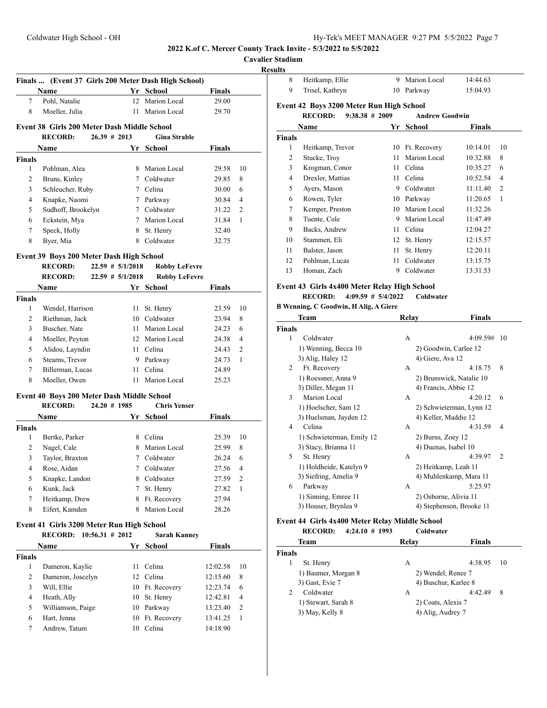**Cavalier Stadium**

#### **Results**

|                | Name                                                                                                                                                                                                                          |                      | Yr School            | <b>Finals</b>           |  |
|----------------|-------------------------------------------------------------------------------------------------------------------------------------------------------------------------------------------------------------------------------|----------------------|----------------------|-------------------------|--|
| 7              | Pohl, Natalie                                                                                                                                                                                                                 |                      | 12 Marion Local      | 29.00                   |  |
| 8              | Moeller, Julia                                                                                                                                                                                                                | 11 -                 | Marion Local         | 29.70                   |  |
|                | Event 38 Girls 200 Meter Dash Middle School                                                                                                                                                                                   |                      |                      |                         |  |
|                | <b>RECORD:</b>                                                                                                                                                                                                                | $26.39 \# 2013$      | <b>Gina Strable</b>  |                         |  |
|                | Name                                                                                                                                                                                                                          |                      | Yr School            | <b>Finals</b>           |  |
| Finals         |                                                                                                                                                                                                                               |                      |                      |                         |  |
| 1              | Pohlman, Alea                                                                                                                                                                                                                 |                      | 8 Marion Local       | 29.58<br>10             |  |
| 2              | Bruns, Kinley                                                                                                                                                                                                                 |                      | 7 Coldwater          | 29.85<br>8              |  |
| 3              | Schleucher, Ruby                                                                                                                                                                                                              |                      | 7 Celina             | 30.00<br>6              |  |
| 4              | Knapke, Naomi                                                                                                                                                                                                                 |                      | 7 Parkway            | 30.84<br>4              |  |
| 5              | Sudhoff, Brookelyn                                                                                                                                                                                                            |                      | 7 Coldwater          | 31.22<br>2              |  |
| 6              | Eckstein, Mya                                                                                                                                                                                                                 |                      | 7 Marion Local       | 31.84<br>1              |  |
| 7              | Speck, Holly                                                                                                                                                                                                                  |                      | 8 St. Henry          | 32.40                   |  |
| 8              | Byer, Mia                                                                                                                                                                                                                     |                      | 8 Coldwater          | 32.75                   |  |
|                | Event 39 Boys 200 Meter Dash High School                                                                                                                                                                                      |                      |                      |                         |  |
|                | <b>RECORD:</b>                                                                                                                                                                                                                | $22.59$ # $5/1/2018$ | <b>Robby LeFevre</b> |                         |  |
|                | <b>RECORD:</b>                                                                                                                                                                                                                | $22.59$ # $5/1/2018$ | <b>Robby LeFevre</b> |                         |  |
|                | Name and the same state of the state of the state of the state of the state of the state of the state of the state of the state of the state of the state of the state of the state of the state of the state of the state of |                      | Yr School            | <b>Finals</b>           |  |
| Finals         |                                                                                                                                                                                                                               |                      |                      |                         |  |
| 1              | Wendel, Harrison                                                                                                                                                                                                              | 11                   | St. Henry            | 23.59<br>10             |  |
| $\overline{2}$ | Riethman, Jack                                                                                                                                                                                                                |                      | 10 Coldwater         | 8<br>23.94              |  |
| 3              | Buscher, Nate                                                                                                                                                                                                                 |                      | 11 Marion Local      | 24.23<br>6              |  |
| 4              | Moeller, Peyton                                                                                                                                                                                                               |                      | 12 Marion Local      | 24.38<br>4              |  |
| 5              |                                                                                                                                                                                                                               |                      |                      |                         |  |
|                | Alidou, Layndin                                                                                                                                                                                                               |                      | 11 Celina            | 24.43<br>2              |  |
| 6              | Stearns, Trevor                                                                                                                                                                                                               |                      | 9 Parkway            | 24.73<br>1              |  |
| 7              | Billerman, Lucas                                                                                                                                                                                                              |                      | 11 Celina            | 24.89                   |  |
| 8              | Moeller, Owen                                                                                                                                                                                                                 |                      | 11 Marion Local      | 25.23                   |  |
|                | Event 40 Boys 200 Meter Dash Middle School                                                                                                                                                                                    |                      |                      |                         |  |
|                | <b>RECORD:</b>                                                                                                                                                                                                                | $24.20$ # 1985       | <b>Chris Yenser</b>  |                         |  |
|                | Name                                                                                                                                                                                                                          |                      | Yr School            | Finals                  |  |
| Finals         |                                                                                                                                                                                                                               |                      |                      |                         |  |
| 1              | Bertke, Parker                                                                                                                                                                                                                |                      | 8 Celina             | 25.39<br>10             |  |
| 2              | Nagel, Cale                                                                                                                                                                                                                   |                      | 8 Marion Local       | 25.99<br>8              |  |
| 3              | Taylor, Braxton                                                                                                                                                                                                               |                      | 7 Coldwater          | 26.24<br>6              |  |
| 4              | Rose, Aidan                                                                                                                                                                                                                   |                      | 7 Coldwater          | 27.56<br>$\overline{4}$ |  |
| 5              | Knapke, Landon                                                                                                                                                                                                                |                      | 8 Coldwater          | 27.59<br>2              |  |
| 6              | Kunk, Jack                                                                                                                                                                                                                    | 7                    | St. Henry            | 27.82<br>1              |  |
| 7              | Heitkamp, Drew                                                                                                                                                                                                                | 8                    | Ft. Recovery         | 27.94                   |  |
| 8              | Eifert, Kamden                                                                                                                                                                                                                | 8                    | Marion Local         | 28.26                   |  |
|                | Event 41 Girls 3200 Meter Run High School                                                                                                                                                                                     |                      |                      |                         |  |
|                | <b>RECORD:</b>                                                                                                                                                                                                                | $10:56.31$ # 2012    | <b>Sarah Kanney</b>  |                         |  |
|                | Name                                                                                                                                                                                                                          |                      | Yr School            | <b>Finals</b>           |  |
| <b>Finals</b>  |                                                                                                                                                                                                                               |                      |                      |                         |  |
| 1              | Dameron, Kaylie                                                                                                                                                                                                               | 11                   | Celina               | 10<br>12:02.58          |  |
| 2              | Dameron, Joscelyn                                                                                                                                                                                                             |                      | 12 Celina            | 12:15.60<br>8           |  |
| 3              | Will, Ellie                                                                                                                                                                                                                   |                      | 10 Ft. Recovery      | 12:23.74<br>6           |  |
|                | Heath, Ally                                                                                                                                                                                                                   |                      | 10 St. Henry         | 12:42.81<br>4           |  |
| 4              |                                                                                                                                                                                                                               |                      |                      |                         |  |
| 5              | Williamson, Paige                                                                                                                                                                                                             |                      | 10 Parkway           | 2<br>13:23.40           |  |
| 6              | Hart, Jenna                                                                                                                                                                                                                   |                      | 10 Ft. Recovery      | 13:41.25<br>1           |  |

| Heitkamp, Ellie<br>Trisel, Kathryn                                 | 9 Marion Local<br>10 Parkway | 14:44.63<br>15:04.93 |
|--------------------------------------------------------------------|------------------------------|----------------------|
| Event 42 Boys 3200 Meter Run High School<br>RECORD: 9:38.38 # 2009 | <b>Andrew Goodwin</b>        |                      |

# **Name Yr School Finals Finals** 1 Heitkamp, Trevor 10 Ft. Recovery 10:14.01 10 2 Stucke, Troy 11 Marion Local 10:32.88 8 3 Krogman, Conor 11 Celina 10:35.27 6 4 Drexler, Mattias 11 Celina 10:52.54 4 5 Ayers, Mason 9 Coldwater 11:11.40 2 6 Rowen, Tyler 10 Parkway 11:20.65 1 7 Kemper, Preston 10 Marion Local 11:32.26 8 Tuente, Cole 9 Marion Local 11:47.49 9 Backs, Andrew 11 Celina 12:04.27 10 Stammen, Eli 12 St. Henry 12:15.57 11 Balster, Jason 11 St. Henry 12:20.11 12 Pohlman, Lucas 11 Coldwater 13:15.75 13 Homan, Zach 9 Coldwater 13:31.53

#### **Event 43 Girls 4x400 Meter Relay High School**

**RECORD: 4:09.59 # 5/4/2022 Coldwater**

#### **B Wenning, C Goodwin, H Alig, A Giere**

|                | <b>Team</b>               | Relay | <b>Finals</b>             |
|----------------|---------------------------|-------|---------------------------|
| <b>Finals</b>  |                           |       |                           |
| 1              | Coldwater                 | A     | 4:09.59#<br>-10           |
|                | 1) Wenning, Becca 10      |       | 2) Goodwin, Carlee 12     |
|                | 3) Alig, Haley 12         |       | 4) Giere, Ava 12          |
| $\overline{c}$ | Ft. Recovery              | A     | 8<br>4:18.75              |
|                | 1) Roessner, Anna 9       |       | 2) Brunswick, Natalie 10  |
|                | 3) Diller, Megan 11       |       | 4) Francis, Abbie 12      |
| 3              | Marion Local              | A     | 4:20.12<br>6              |
|                | 1) Hoelscher, Sam 12      |       | 2) Schwieterman, Lynn 12  |
|                | 3) Huelsman, Jayden 12    |       | 4) Keller, Maddie 12      |
| 4              | Celina                    | A     | 4:31.59<br>4              |
|                | 1) Schwieterman, Emily 12 |       | 2) Burns, Zoey 12         |
|                | 3) Stacy, Brianna 11      |       | 4) Duenas, Isabel 10      |
| 5              | St. Henry                 | A     | 4:39.97<br>$\overline{2}$ |
|                | 1) Holdheide, Katelyn 9   |       | 2) Heitkamp, Leah 11      |
|                | 3) Siefring, Amelia 9     |       | 4) Muhlenkamp, Mara 11    |
| 6              | Parkway                   | A     | 5:25.97                   |
|                | 1) Sinning, Emree 11      |       | 2) Osborne, Alivia 11     |
|                | 3) Houser, Brynlea 9      |       | 4) Stephenson, Brooke 11  |
|                |                           |       |                           |

#### **Event 44 Girls 4x400 Meter Relay Middle School**

**RECORD: 4:24.10 # 1993 Coldwater**

| <b>Team</b>         | Relav              | <b>Finals</b>        |
|---------------------|--------------------|----------------------|
| <b>Finals</b>       |                    |                      |
| St. Henry           | A                  | 4:38.95<br>-10       |
| 1) Baumer, Morgan 8 | 2) Wendel, Renee 7 |                      |
| 3) Gast, Evie 7     |                    | 4) Buschur, Karlee 8 |
| Coldwater           | А                  | 4:42.49<br>8         |
| 1) Stewart, Sarah 8 | 2) Coats, Alexis 7 |                      |
| 3) May, Kelly 8     | 4) Alig, Audrey 7  |                      |
|                     |                    |                      |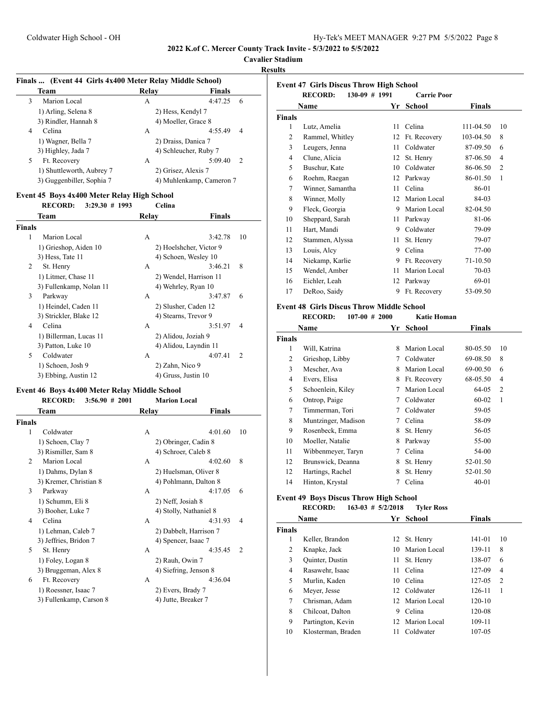# **Cavalier Stadium**

**Results**

|   | Finals  (Event 44 Girls 4x400 Meter Relay Middle School) |                     |                           |  |  |  |
|---|----------------------------------------------------------|---------------------|---------------------------|--|--|--|
|   | Team                                                     | Relay               | <b>Finals</b>             |  |  |  |
| 3 | Marion Local                                             | А                   | 4:47.25<br>6              |  |  |  |
|   | 1) Arling, Selena 8                                      | 2) Hess, Kendyl 7   |                           |  |  |  |
|   | 3) Rindler, Hannah 8                                     |                     | 4) Moeller, Grace 8       |  |  |  |
| 4 | Celina                                                   | А                   | 4:55.49<br>4              |  |  |  |
|   | 1) Wagner, Bella 7                                       |                     | 2) Draiss, Danica 7       |  |  |  |
|   | 3) Highley, Jada 7                                       |                     | 4) Schleucher, Ruby 7     |  |  |  |
| 5 | Ft. Recovery                                             | А                   | 5:09.40<br>$\overline{2}$ |  |  |  |
|   | 1) Shuttleworth, Aubrey 7                                | 2) Grisez, Alexis 7 |                           |  |  |  |
|   | 3) Guggenbiller, Sophia 7                                |                     | 4) Muhlenkamp, Cameron 7  |  |  |  |

#### **Event 45 Boys 4x400 Meter Relay High School<br>RECORD:** 3:29.30 # 1993 Celina  $RECORD: 3:29.30 \neq 1993$

|        | necone.<br>$J.2J.00$ $\pi$ 1/10 | Сенна               |                           |  |
|--------|---------------------------------|---------------------|---------------------------|--|
|        | Team                            | Relav               | <b>Finals</b>             |  |
| Finals |                                 |                     |                           |  |
| 1      | Marion Local                    | A                   | 3:42.78<br>10             |  |
|        | 1) Grieshop, Aiden 10           |                     | 2) Hoelshcher, Victor 9   |  |
|        | 3) Hess, Tate 11                |                     | 4) Schoen, Wesley 10      |  |
| 2      | St. Henry                       | A                   | 8<br>3:46.21              |  |
|        | 1) Litmer, Chase 11             |                     | 2) Wendel, Harrison 11    |  |
|        | 3) Fullenkamp, Nolan 11         |                     | 4) Wehrley, Ryan 10       |  |
| 3      | Parkway                         | A                   | 3:47.87<br>6              |  |
|        | 1) Heindel, Caden 11            |                     | 2) Slusher, Caden 12      |  |
|        | 3) Strickler, Blake 12          |                     | 4) Stearns, Trevor 9      |  |
| 4      | Celina                          | A                   | 3:51.97<br>$\overline{4}$ |  |
|        | 1) Billerman, Lucas 11          |                     | 2) Alidou, Joziah 9       |  |
|        | 3) Patton, Luke 10              |                     | 4) Alidou, Layndin 11     |  |
| 5      | Coldwater                       | A                   | 4:07.41<br>$\overline{2}$ |  |
|        | 1) Schoen, Josh 9               | 2) Zahn, Nico 9     |                           |  |
|        | 3) Ebbing, Austin 12            | 4) Gruss, Justin 10 |                           |  |

# **Event 46 Boys 4x400 Meter Relay Middle School<br>RECORD:** 3:56.90 # 2001 Marion L

|        | <b>RECORD:</b><br>3:56.90#2001 |       | <b>Marion Local</b>    |    |
|--------|--------------------------------|-------|------------------------|----|
|        | Team                           | Relay | Finals                 |    |
| Finals |                                |       |                        |    |
| 1      | Coldwater                      | A     | 4:01.60                | 10 |
|        | 1) Schoen, Clay 7              |       | 2) Obringer, Cadin 8   |    |
|        | 3) Rismiller, Sam 8            |       | 4) Schroer, Caleb 8    |    |
| 2      | Marion Local                   | A     | 4:02.60                | 8  |
|        | 1) Dahms, Dylan 8              |       | 2) Huelsman, Oliver 8  |    |
|        | 3) Kremer, Christian 8         |       | 4) Pohlmann, Dalton 8  |    |
| 3      | Parkway                        | A     | 4:17.05                | 6  |
|        | 1) Schumm, Eli 8               |       | 2) Neff, Josiah 8      |    |
|        | 3) Booher, Luke 7              |       | 4) Stolly, Nathaniel 8 |    |
| 4      | Celina                         | A     | 4:31.93                | 4  |
|        | 1) Lehman, Caleb 7             |       | 2) Dabbelt, Harrison 7 |    |
|        | 3) Jeffries, Bridon 7          |       | 4) Spencer, Isaac 7    |    |
| 5      | St. Henry                      | A     | 4:35.45                | 2  |
|        | 1) Foley, Logan 8              |       | 2) Rauh, Owin 7        |    |
|        | 3) Bruggeman, Alex 8           |       | 4) Siefring, Jenson 8  |    |
| 6      | Ft. Recovery                   | A     | 4:36.04                |    |
|        | 1) Roessner, Isaac 7           |       | 2) Evers, Brady 7      |    |
|        | 3) Fullenkamp, Carson 8        |       | 4) Jutte, Breaker 7    |    |

| <b>Event 47 Girls Discus Throw High School</b><br><b>RECORD:</b><br>$130-09$ # 1991<br><b>Carrie Poor</b> |                  |    |               |           |                |
|-----------------------------------------------------------------------------------------------------------|------------------|----|---------------|-----------|----------------|
|                                                                                                           | Name             | Yr | <b>School</b> | Finals    |                |
| <b>Finals</b>                                                                                             |                  |    |               |           |                |
| 1                                                                                                         | Lutz, Amelia     | 11 | Celina        | 111-04.50 | 10             |
| $\overline{c}$                                                                                            | Rammel, Whitley  | 12 | Ft. Recovery  | 103-04.50 | 8              |
| 3                                                                                                         | Leugers, Jenna   | 11 | Coldwater     | 87-09.50  | 6              |
| 4                                                                                                         | Clune, Alicia    | 12 | St. Henry     | 87-06.50  | 4              |
| 5                                                                                                         | Buschur, Kate    | 10 | Coldwater     | 86-06.50  | $\overline{2}$ |
| 6                                                                                                         | Roehm, Raegan    | 12 | Parkway       | 86-01.50  | 1              |
| 7                                                                                                         | Winner, Samantha | 11 | Celina        | 86-01     |                |
| 8                                                                                                         | Winner, Molly    | 12 | Marion Local  | 84-03     |                |
| 9                                                                                                         | Fleck, Georgia   | 9  | Marion Local  | 82-04.50  |                |
| 10                                                                                                        | Sheppard, Sarah  | 11 | Parkway       | 81-06     |                |
| 11                                                                                                        | Hart, Mandi      | 9  | Coldwater     | 79-09     |                |
| 12                                                                                                        | Stammen, Alyssa  | 11 | St. Henry     | 79-07     |                |
| 13                                                                                                        | Louis, Alcy      | 9  | Celina        | 77-00     |                |
| 14                                                                                                        | Niekamp, Karlie  | 9  | Ft. Recovery  | 71-10.50  |                |
| 15                                                                                                        | Wendel, Amber    | 11 | Marion Local  | 70-03     |                |
| 16                                                                                                        | Eichler, Leah    | 12 | Parkway       | 69-01     |                |
| 17                                                                                                        | DeRoo, Saidy     | 9  | Ft. Recovery  | 53-09.50  |                |

# **Event 48 Girls Discus Throw Middle School<br>RECORD:** 107.00 # 2000 Katia H

|               | <b>RECORD:</b><br>$107-00 \# 2000$ |    | Katie Homan  |               |                |
|---------------|------------------------------------|----|--------------|---------------|----------------|
|               | Name                               | Yr | School       | <b>Finals</b> |                |
| <b>Finals</b> |                                    |    |              |               |                |
| 1             | Will, Katrina                      | 8  | Marion Local | 80-05.50      | 10             |
| 2             | Grieshop, Libby                    | 7  | Coldwater    | 69-08.50      | 8              |
| 3             | Mescher, Ava                       | 8  | Marion Local | 69-00.50      | 6              |
| 4             | Evers, Elisa                       | 8  | Ft. Recovery | 68-05.50      | 4              |
| 5             | Schoenlein, Kiley                  | 7  | Marion Local | 64-05         | $\overline{2}$ |
| 6             | Ontrop, Paige                      | 7  | Coldwater    | 60-02         | 1              |
| 7             | Timmerman, Tori                    | 7  | Coldwater    | 59-05         |                |
| 8             | Muntzinger, Madison                | 7  | Celina       | 58-09         |                |
| 9             | Rosenbeck, Emma                    | 8  | St. Henry    | 56-05         |                |
| 10            | Moeller, Natalie                   | 8  | Parkway      | 55-00         |                |
| 11            | Wibbenmeyer, Taryn                 | 7  | Celina       | 54-00         |                |
| 12            | Brunswick, Deanna                  | 8  | St. Henry    | 52-01.50      |                |
| 12            | Hartings, Rachel                   | 8  | St. Henry    | 52-01.50      |                |
| 14            | Hinton, Krystal                    |    | Celina       | $40 - 01$     |                |
|               |                                    |    |              |               |                |

# **Event 49 Boys Discus Throw High School**

| <b>RECORD:</b> |  | $163-03$ # $5/2/2018$ | <b>Tyler Ross</b> |
|----------------|--|-----------------------|-------------------|

|               | Name               |    | Yr School       | <b>Finals</b> |                |
|---------------|--------------------|----|-----------------|---------------|----------------|
| <b>Finals</b> |                    |    |                 |               |                |
| 1             | Keller, Brandon    |    | 12 St. Henry    | 141-01        | 10             |
| 2             | Knapke, Jack       | 10 | Marion Local    | 139-11        | 8              |
| 3             | Quinter, Dustin    | 11 | St. Henry       | 138-07        | 6              |
| 4             | Rasawehr, Isaac    | 11 | Celina          | 127-09        | 4              |
| 5             | Murlin, Kaden      | 10 | Celina          | 127-05        | $\overline{2}$ |
| 6             | Meyer, Jesse       |    | 12 Coldwater    | 126-11        | 1              |
| 7             | Chrisman, Adam     |    | 12 Marion Local | $120-10$      |                |
| 8             | Chilcoat, Dalton   | 9  | Celina          | 120-08        |                |
| 9             | Partington, Kevin  |    | 12 Marion Local | 109-11        |                |
| 10            | Klosterman, Braden | 11 | Coldwater       | 107-05        |                |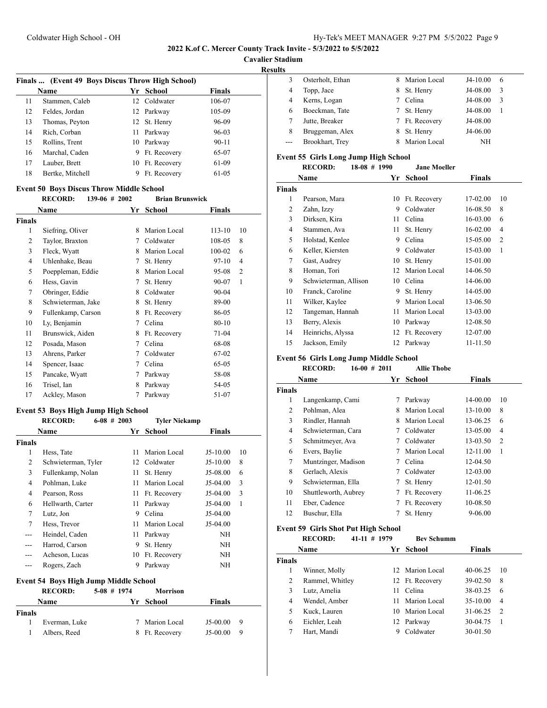**Cavalier Stadium**

**Results**

|    | Finals  (Event 49 Boys Discus Throw High School) |    |              |               |
|----|--------------------------------------------------|----|--------------|---------------|
|    | Name                                             |    | Yr School    | <b>Finals</b> |
| 11 | Stammen, Caleb                                   |    | 12 Coldwater | 106-07        |
| 12 | Feldes, Jordan                                   |    | 12 Parkway   | 105-09        |
| 13 | Thomas, Peyton                                   |    | 12 St. Henry | 96-09         |
| 14 | Rich, Corban                                     | 11 | Parkway      | 96-03         |
| 15 | Rollins, Trent                                   |    | 10 Parkway   | $90 - 11$     |
| 16 | Marchal, Caden                                   | 9  | Ft. Recovery | 65-07         |
| 17 | Lauber, Brett                                    | 10 | Ft. Recovery | 61-09         |
| 18 | Bertke, Mitchell                                 | 9  | Ft. Recovery | 61-05         |

# **Event 50 Boys Discus Throw Middle School**

|                | <b>RECORD:</b><br>$139-06$ # 2002 |    | <b>Brian Brunswick</b> |            |    |
|----------------|-----------------------------------|----|------------------------|------------|----|
|                | Name                              | Yr | School                 | Finals     |    |
| Finals         |                                   |    |                        |            |    |
| 1              | Siefring, Oliver                  | 8  | Marion Local           | $113 - 10$ | 10 |
| $\overline{2}$ | Taylor, Braxton                   | 7  | Coldwater              | 108-05     | 8  |
| 3              | Fleck, Wyatt                      | 8  | Marion Local           | 100-02     | 6  |
| $\overline{4}$ | Uhlenhake, Beau                   | 7  | St. Henry              | 97-10      | 4  |
| 5              | Poeppleman, Eddie                 | 8  | Marion Local           | 95-08      | 2  |
| 6              | Hess, Gavin                       | 7  | St. Henry              | 90-07      | 1  |
| 7              | Obringer, Eddie                   | 8  | Coldwater              | $90 - 04$  |    |
| 8              | Schwieterman, Jake                | 8  | St. Henry              | 89-00      |    |
| 9              | Fullenkamp, Carson                | 8  | Ft. Recovery           | 86-05      |    |
| 10             | Ly, Benjamin                      | 7  | Celina                 | $80 - 10$  |    |
| 11             | Brunswick, Aiden                  | 8  | Ft. Recovery           | 71-04      |    |
| 12             | Posada, Mason                     | 7  | Celina                 | 68-08      |    |
| 13             | Ahrens, Parker                    | 7  | Coldwater              | 67-02      |    |
| 14             | Spencer, Isaac                    | 7  | Celina                 | 65-05      |    |
| 15             | Pancake, Wyatt                    | 7  | Parkway                | 58-08      |    |
| 16             | Trisel, Ian                       | 8  | Parkway                | 54-05      |    |
| 17             | Ackley, Mason                     | 7  | Parkway                | 51-07      |    |

# **Event 53 Boys High Jump High School**

|               | <b>RECORD:</b>      | $6-08$ # 2003 | <b>Tyler Niekamp</b> |               |    |
|---------------|---------------------|---------------|----------------------|---------------|----|
|               | <b>Name</b>         | Yr            | School               | <b>Finals</b> |    |
| <b>Finals</b> |                     |               |                      |               |    |
| 1             | Hess, Tate          | 11            | Marion Local         | $J5-10.00$    | 10 |
| 2             | Schwieterman, Tyler | 12            | Coldwater            | $J5-10.00$    | 8  |
| 3             | Fullenkamp, Nolan   | 11            | St. Henry            | $J5-08.00$    | 6  |
| 4             | Pohlman, Luke       | 11            | Marion Local         | $J5-04.00$    | 3  |
| 4             | Pearson, Ross       | 11            | Ft. Recovery         | $J5-04.00$    | 3  |
| 6             | Hellwarth, Carter   | 11            | Parkway              | $J5-04.00$    | 1  |
| 7             | Lutz, Jon           | 9             | Celina               | $J5-04.00$    |    |
| 7             | Hess, Trevor        | 11            | Marion Local         | $J5-04.00$    |    |
| ---           | Heindel, Caden      | 11            | Parkway              | NΗ            |    |
| ---           | Harrod, Carson      | 9             | St. Henry            | NΗ            |    |
| ---           | Acheson, Lucas      | 10            | Ft. Recovery         | NH            |    |
|               | Rogers, Zach        | 9             | Parkway              | NH            |    |

#### **Event 54 Boys High Jump Middle School**

|               | <b>RECORD:</b> | $5-08$ # 1974 | <b>Morrison</b> |            |     |
|---------------|----------------|---------------|-----------------|------------|-----|
|               | Name           |               | Yr School       | Finals     |     |
| <b>Finals</b> |                |               |                 |            |     |
|               | Everman, Luke  | 7             | Marion Local    | $J5-00.00$ | - 9 |
|               | Albers, Reed   |               | 8 Ft. Recovery  | $J5-00.00$ | -9  |

| ັ |                  |   |              |            |   |
|---|------------------|---|--------------|------------|---|
|   | Osterholt, Ethan |   | Marion Local | $J4-10.00$ | 6 |
| 4 | Topp, Jace       | 8 | St. Henry    | J4-08.00   | 3 |
| 4 | Kerns, Logan     |   | Celina       | J4-08.00   | 3 |
| 6 | Boeckman, Tate   |   | St. Henry    | J4-08.00   |   |
|   | Jutte, Breaker   | 7 | Ft. Recovery | J4-08.00   |   |
| 8 | Bruggeman, Alex  | 8 | St. Henry    | J4-06.00   |   |
|   | Brookhart, Trev  | 8 | Marion Local | NH         |   |
|   |                  |   |              |            |   |

# **Event 55 Girls Long Jump High School**

|                | <b>RECORD:</b><br>$18-08$ # 1990 |    | <b>Jane Moeller</b> |          |                |
|----------------|----------------------------------|----|---------------------|----------|----------------|
|                | Name                             | Yr | School              | Finals   |                |
| <b>Finals</b>  |                                  |    |                     |          |                |
| 1              | Pearson, Mara                    | 10 | Ft. Recovery        | 17-02.00 | 10             |
| 2              | Zahn, Izzy                       | 9  | Coldwater           | 16-08.50 | 8              |
| 3              | Dirksen, Kira                    | 11 | Celina              | 16-03.00 | 6              |
| $\overline{4}$ | Stammen, Ava                     | 11 | St. Henry           | 16-02.00 | 4              |
| 5              | Holstad, Kenlee                  | 9  | Celina              | 15-05.00 | $\overline{2}$ |
| 6              | Keller, Kiersten                 | 9  | Coldwater           | 15-03.00 | 1              |
| 7              | Gast, Audrey                     | 10 | St. Henry           | 15-01.00 |                |
| 8              | Homan, Tori                      | 12 | Marion Local        | 14-06.50 |                |
| 9              | Schwieterman, Allison            | 10 | Celina              | 14-06.00 |                |
| 10             | Franck, Caroline                 | 9  | St. Henry           | 14-05.00 |                |
| 11             | Wilker, Kaylee                   | 9  | Marion Local        | 13-06.50 |                |
| 12             | Tangeman, Hannah                 | 11 | Marion Local        | 13-03.00 |                |
| 13             | Berry, Alexis                    | 10 | Parkway             | 12-08.50 |                |
| 14             | Heinrichs, Alyssa                | 12 | Ft. Recovery        | 12-07.00 |                |
| 15             | Jackson, Emily                   | 12 | Parkway             | 11-11.50 |                |

#### **Event 56 Girls Long Jump Middle School**

# **RECORD: 16-00 # 2011 Allie Thobe**

|               | Name                 | Yr | School       | <b>Finals</b> |                |
|---------------|----------------------|----|--------------|---------------|----------------|
| <b>Finals</b> |                      |    |              |               |                |
| 1             | Langenkamp, Cami     | 7  | Parkway      | 14-00.00      | 10             |
| 2             | Pohlman, Alea        | 8  | Marion Local | 13-10.00      | 8              |
| 3             | Rindler, Hannah      | 8  | Marion Local | 13-06.25      | 6              |
| 4             | Schwieterman, Cara   | 7  | Coldwater    | 13-05.00      | 4              |
| 5             | Schmitmeyer, Ava     | 7  | Coldwater    | 13-03.50      | $\overline{2}$ |
| 6             | Evers, Baylie        | 7  | Marion Local | 12-11.00      | 1              |
| $\tau$        | Muntzinger, Madison  | 7  | Celina       | 12-04.50      |                |
| 8             | Gerlach, Alexis      | 7  | Coldwater    | 12-03.00      |                |
| 9             | Schwieterman, Ella   | 7  | St. Henry    | 12-01.50      |                |
| 10            | Shuttleworth, Aubrey | 7  | Ft. Recovery | 11-06.25      |                |
| 11            | Eber, Cadence        | 7  | Ft. Recovery | 10-08.50      |                |
| 12            | Buschur, Ella        | 7  | St. Henry    | $9 - 06.00$   |                |

# **Event 59 Girls Shot Put High School**

|               | <b>RECORD:</b>  | 41-11 # 1979 |     | <b>Bev Schumm</b> |               |                |
|---------------|-----------------|--------------|-----|-------------------|---------------|----------------|
|               | Name            |              | Yr  | School            | <b>Finals</b> |                |
| <b>Finals</b> |                 |              |     |                   |               |                |
|               | Winner, Molly   |              |     | 12 Marion Local   | $40 - 06.25$  | 10             |
| 2             | Rammel, Whitley |              |     | 12 Ft. Recovery   | 39-02.50      | 8              |
| 3             | Lutz, Amelia    |              | 11  | Celina            | 38-03.25      | 6              |
| 4             | Wendel, Amber   |              | 11  | Marion Local      | 35-10.00      | 4              |
| 5             | Kuck, Lauren    |              | 10  | Marion Local      | 31-06.25      | $\overline{2}$ |
| 6             | Eichler, Leah   |              | 12. | Parkway           | 30-04.75      |                |
|               | Hart, Mandi     |              | 9   | Coldwater         | 30-01.50      |                |
|               |                 |              |     |                   |               |                |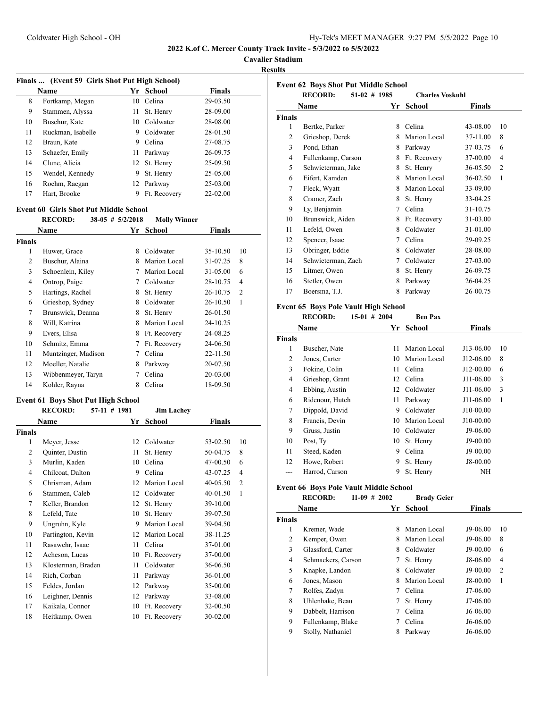**Cavalier Stadium**

**Results**

| Finals  (Event 59 Girls Shot Put High School) |                   |    |               |               |  |  |  |
|-----------------------------------------------|-------------------|----|---------------|---------------|--|--|--|
|                                               | <b>Name</b>       | Yr | <b>School</b> | <b>Finals</b> |  |  |  |
| 8                                             | Fortkamp, Megan   | 10 | Celina        | 29-03.50      |  |  |  |
| 9                                             | Stammen, Alyssa   | 11 | St. Henry     | 28-09.00      |  |  |  |
| 10                                            | Buschur, Kate     | 10 | Coldwater     | 28-08.00      |  |  |  |
| 11                                            | Ruckman, Isabelle | 9  | Coldwater     | 28-01.50      |  |  |  |
| 12                                            | Braun, Kate       | 9  | Celina        | 27-08.75      |  |  |  |
| 13                                            | Schaefer, Emily   | 11 | Parkway       | 26-09.75      |  |  |  |
| 14                                            | Clune, Alicia     |    | 12 St. Henry  | 25-09.50      |  |  |  |
| 15                                            | Wendel, Kennedy   | 9  | St. Henry     | 25-05.00      |  |  |  |
| 16                                            | Roehm, Raegan     | 12 | Parkway       | 25-03.00      |  |  |  |
| 17                                            | Hart, Brooke      | 9  | Ft. Recovery  | $22 - 02.00$  |  |  |  |
|                                               |                   |    |               |               |  |  |  |

# **Event 60 Girls Shot Put Middle School**

|                | <b>RECORD:</b>      | $38-05$ # $5/2/2018$ | <b>Molly Winner</b> |               |    |
|----------------|---------------------|----------------------|---------------------|---------------|----|
|                | Name                | Yr                   | School              | <b>Finals</b> |    |
| <b>Finals</b>  |                     |                      |                     |               |    |
| 1              | Huwer, Grace        | 8                    | Coldwater           | 35-10.50      | 10 |
| $\overline{2}$ | Buschur, Alaina     | 8                    | Marion Local        | 31-07.25      | 8  |
| 3              | Schoenlein, Kiley   | 7                    | Marion Local        | $31 - 05.00$  | 6  |
| 4              | Ontrop, Paige       | 7                    | Coldwater           | 28-10.75      | 4  |
| 5              | Hartings, Rachel    | 8                    | St. Henry           | 26-10.75      | 2  |
| 6              | Grieshop, Sydney    | 8                    | Coldwater           | 26-10.50      | 1  |
| $\overline{7}$ | Brunswick, Deanna   | 8                    | St. Henry           | 26-01.50      |    |
| 8              | Will, Katrina       | 8                    | Marion Local        | 24-10.25      |    |
| 9              | Evers, Elisa        | 8                    | Ft. Recovery        | 24-08.25      |    |
| 10             | Schmitz, Emma       | 7                    | Ft. Recovery        | 24-06.50      |    |
| 11             | Muntzinger, Madison | 7                    | Celina              | 22-11.50      |    |
| 12             | Moeller, Natalie    | 8                    | Parkway             | 20-07.50      |    |
| 13             | Wibbenmeyer, Taryn  | 7                    | Celina              | 20-03.00      |    |
| 14             | Kohler, Rayna       | 8                    | Celina              | 18-09.50      |    |
|                |                     |                      |                     |               |    |

# **Event 61 Boys Shot Put High School**

|               | <b>RECORD:</b><br>57-11 # 1981 |    | <b>Jim Lachey</b> |              |                |
|---------------|--------------------------------|----|-------------------|--------------|----------------|
|               | Name                           | Yr | School            | Finals       |                |
| <b>Finals</b> |                                |    |                   |              |                |
| 1             | Meyer, Jesse                   | 12 | Coldwater         | 53-02.50     | 10             |
| 2             | Quinter, Dustin                | 11 | St. Henry         | 50-04.75     | 8              |
| 3             | Murlin, Kaden                  | 10 | Celina            | 47-00.50     | 6              |
| 4             | Chilcoat, Dalton               | 9  | Celina            | 43-07.25     | 4              |
| 5             | Chrisman, Adam                 | 12 | Marion Local      | 40-05.50     | $\overline{2}$ |
| 6             | Stammen, Caleb                 | 12 | Coldwater         | $40 - 01.50$ | 1              |
| 7             | Keller, Brandon                | 12 | St. Henry         | 39-10.00     |                |
| 8             | Lefeld, Tate                   | 10 | St. Henry         | 39-07.50     |                |
| 9             | Ungruhn, Kyle                  | 9  | Marion Local      | 39-04.50     |                |
| 10            | Partington, Kevin              | 12 | Marion Local      | 38-11.25     |                |
| 11            | Rasawehr, Isaac                | 11 | Celina            | 37-01.00     |                |
| 12            | Acheson, Lucas                 | 10 | Ft. Recovery      | 37-00.00     |                |
| 13            | Klosterman, Braden             | 11 | Coldwater         | 36-06.50     |                |
| 14            | Rich, Corban                   | 11 | Parkway           | 36-01.00     |                |
| 15            | Feldes, Jordan                 | 12 | Parkway           | 35-00.00     |                |
| 16            | Leighner, Dennis               | 12 | Parkway           | 33-08.00     |                |
| 17            | Kaikala, Connor                | 10 | Ft. Recovery      | 32-00.50     |                |
| 18            | Heitkamp, Owen                 | 10 | Ft. Recovery      | 30-02.00     |                |

|                | <b>RECORD:</b><br>$51-02$ # 1985 |    | <b>Charles Voskuhl</b> |               |                |
|----------------|----------------------------------|----|------------------------|---------------|----------------|
|                | Name                             | Yr | School                 | <b>Finals</b> |                |
| Finals         |                                  |    |                        |               |                |
| 1              | Bertke, Parker                   | 8  | Celina                 | 43-08.00      | 10             |
| $\overline{2}$ | Grieshop, Derek                  | 8  | Marion Local           | 37-11.00      | 8              |
| 3              | Pond, Ethan                      | 8  | Parkway                | 37-03.75      | 6              |
| 4              | Fullenkamp, Carson               | 8  | Ft. Recovery           | 37-00.00      | $\overline{4}$ |
| 5              | Schwieterman, Jake               | 8  | St. Henry              | 36-05.50      | $\overline{2}$ |
| 6              | Eifert, Kamden                   | 8  | Marion Local           | 36-02.50      | 1              |
| 7              | Fleck, Wyatt                     | 8  | Marion Local           | 33-09.00      |                |
| 8              | Cramer, Zach                     | 8  | St. Henry              | 33-04.25      |                |
| 9              | Ly, Benjamin                     | 7  | Celina                 | 31-10.75      |                |
| 10             | Brunswick, Aiden                 | 8  | Ft. Recovery           | 31-03.00      |                |
| 11             | Lefeld, Owen                     | 8  | Coldwater              | 31-01.00      |                |
| 12             | Spencer, Isaac                   | 7  | Celina                 | 29-09.25      |                |
| 13             | Obringer, Eddie                  | 8  | Coldwater              | 28-08.00      |                |
| 14             | Schwieterman, Zach               | 7  | Coldwater              | 27-03.00      |                |
| 15             | Litmer, Owen                     | 8  | St. Henry              | 26-09.75      |                |
| 16             | Stetler, Owen                    | 8  | Parkway                | 26-04.25      |                |
| 17             | Boersma, T.J.                    | 8  | Parkway                | 26-00.75      |                |

#### **Event 65 Boys Pole Vault High School**

|               | <b>RECORD:</b>  | $15-01$ # 2004 |    | <b>Ben Pax</b> |               |    |
|---------------|-----------------|----------------|----|----------------|---------------|----|
|               | Name            |                | Yr | School         | <b>Finals</b> |    |
| <b>Finals</b> |                 |                |    |                |               |    |
| 1             | Buscher, Nate   |                | 11 | Marion Local   | J13-06.00     | 10 |
| 2             | Jones, Carter   |                | 10 | Marion Local   | J12-06.00     | 8  |
| 3             | Fokine, Colin   |                | 11 | Celina         | J12-00.00     | 6  |
| 4             | Grieshop, Grant |                | 12 | Celina         | J11-06.00     | 3  |
| 4             | Ebbing, Austin  |                |    | 12 Coldwater   | J11-06.00     | 3  |
| 6             | Ridenour, Hutch |                | 11 | Parkway        | J11-06.00     | 1  |
| 7             | Dippold, David  |                | 9  | Coldwater      | J10-00.00     |    |
| 8             | Francis, Devin  |                | 10 | Marion Local   | J10-00.00     |    |
| 9             | Gruss, Justin   |                | 10 | Coldwater      | J9-06.00      |    |
| 10            | Post, Ty        |                | 10 | St. Henry      | J9-00.00      |    |
| 11            | Steed, Kaden    |                | 9  | Celina         | J9-00.00      |    |
| 12            | Howe, Robert    |                | 9  | St. Henry      | J8-00.00      |    |
| ---           | Harrod, Carson  |                | 9  | St. Henry      | NH            |    |

# **Event 66 Boys Pole Vault Middle School**

|               | <b>RECORD:</b>     | $11-09$ # 2002 |    | <b>Brady Geier</b> |               |                |
|---------------|--------------------|----------------|----|--------------------|---------------|----------------|
|               | Name               |                | Yr | School             | <b>Finals</b> |                |
| <b>Finals</b> |                    |                |    |                    |               |                |
| 1             | Kremer, Wade       |                | 8  | Marion Local       | J9-06.00      | 10             |
| 2             | Kemper, Owen       |                | 8  | Marion Local       | J9-06.00      | 8              |
| 3             | Glassford, Carter  |                | 8  | Coldwater          | J9-00.00      | 6              |
| 4             | Schmackers, Carson |                | 7  | St. Henry          | J8-06.00      | 4              |
| 5             | Knapke, Landon     |                | 8  | Coldwater          | J9-00.00      | $\overline{c}$ |
| 6             | Jones, Mason       |                | 8  | Marion Local       | J8-00.00      | 1              |
| 7             | Rolfes, Zadyn      |                | 7  | Celina             | J7-06.00      |                |
| 8             | Uhlenhake, Beau    |                | 7  | St. Henry          | $J7-06.00$    |                |
| 9             | Dabbelt, Harrison  |                | 7  | Celina             | $J6-06.00$    |                |
| 9             | Fullenkamp, Blake  |                |    | Celina             | $J6-06.00$    |                |
| 9             | Stolly, Nathaniel  |                | 8  | Parkway            | $J6-06.00$    |                |
|               |                    |                |    |                    |               |                |